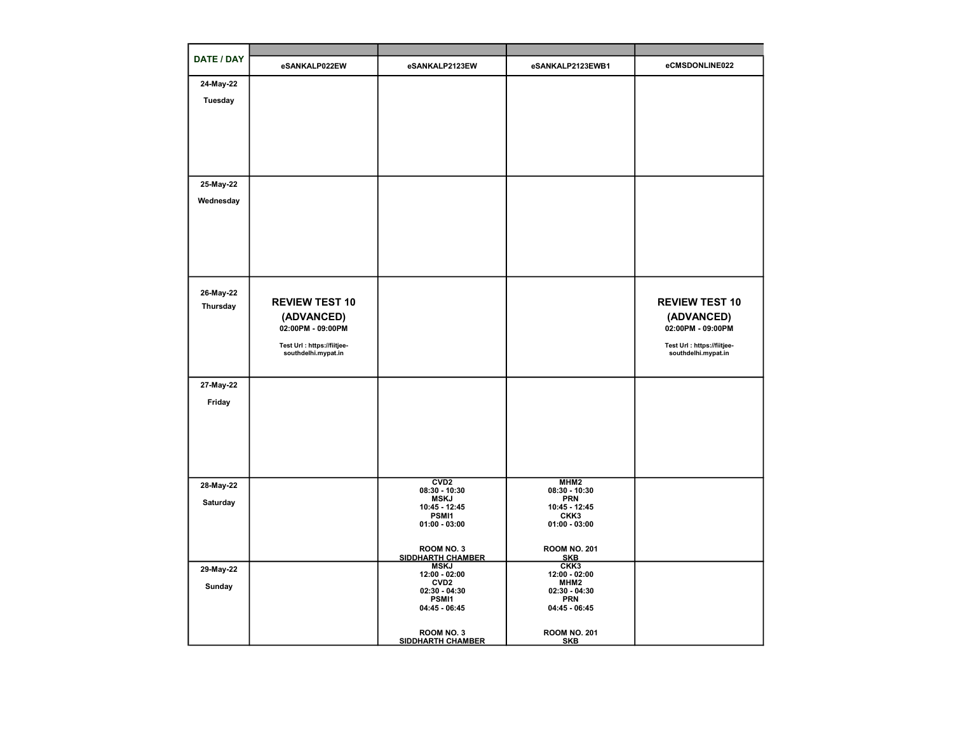| <b>DATE / DAY</b>     | eSANKALP022EW               | eSANKALP2123EW                          | eSANKALP2123EWB1                  | eCMSDONLINE022              |
|-----------------------|-----------------------------|-----------------------------------------|-----------------------------------|-----------------------------|
| 24-May-22             |                             |                                         |                                   |                             |
| <b>Tuesday</b>        |                             |                                         |                                   |                             |
|                       |                             |                                         |                                   |                             |
|                       |                             |                                         |                                   |                             |
|                       |                             |                                         |                                   |                             |
|                       |                             |                                         |                                   |                             |
|                       |                             |                                         |                                   |                             |
| 25-May-22             |                             |                                         |                                   |                             |
| Wednesday             |                             |                                         |                                   |                             |
|                       |                             |                                         |                                   |                             |
|                       |                             |                                         |                                   |                             |
|                       |                             |                                         |                                   |                             |
|                       |                             |                                         |                                   |                             |
|                       |                             |                                         |                                   |                             |
|                       |                             |                                         |                                   |                             |
| 26-May-22<br>Thursday | <b>REVIEW TEST 10</b>       |                                         |                                   | <b>REVIEW TEST 10</b>       |
|                       | (ADVANCED)                  |                                         |                                   | (ADVANCED)                  |
|                       | 02:00PM - 09:00PM           |                                         |                                   | 02:00PM - 09:00PM           |
|                       | Test Url : https://fiitjee- |                                         |                                   | Test Url : https://fiitjee- |
|                       | southdelhi.mypat.in         |                                         |                                   | southdelhi.mypat.in         |
|                       |                             |                                         |                                   |                             |
| 27-May-22             |                             |                                         |                                   |                             |
| Friday                |                             |                                         |                                   |                             |
|                       |                             |                                         |                                   |                             |
|                       |                             |                                         |                                   |                             |
|                       |                             |                                         |                                   |                             |
|                       |                             |                                         |                                   |                             |
|                       |                             |                                         |                                   |                             |
| 28-May-22             |                             | CVD2<br>$08:30 - 10:30$                 | MHM <sub>2</sub><br>08:30 - 10:30 |                             |
| Saturday              |                             | <b>MSKJ</b><br>10:45 - 12:45            | <b>PRN</b><br>10:45 - 12:45       |                             |
|                       |                             | PSMI1<br>$01:00 - 03:00$                | CKK3<br>$01:00 - 03:00$           |                             |
|                       |                             |                                         |                                   |                             |
|                       |                             | ROOM NO. 3                              | <b>ROOM NO. 201</b>               |                             |
|                       |                             | <b>SIDDHARTH CHAMBER</b><br><b>MSKJ</b> | <b>SKB</b><br>CKK <sub>3</sub>    |                             |
| 29-May-22             |                             | 12:00 - 02:00                           | 12:00 - 02:00                     |                             |
| Sunday                |                             | CVD <sub>2</sub><br>$02:30 - 04:30$     | MHM2<br>$02:30 - 04:30$           |                             |
|                       |                             | PSMI1<br>04:45 - 06:45                  | <b>PRN</b><br>04:45 - 06:45       |                             |
|                       |                             |                                         |                                   |                             |
|                       |                             | ROOM NO. 3                              | <b>ROOM NO. 201</b>               |                             |
|                       |                             | <b>SIDDHARTH CHAMBER</b>                | <b>SKB</b>                        |                             |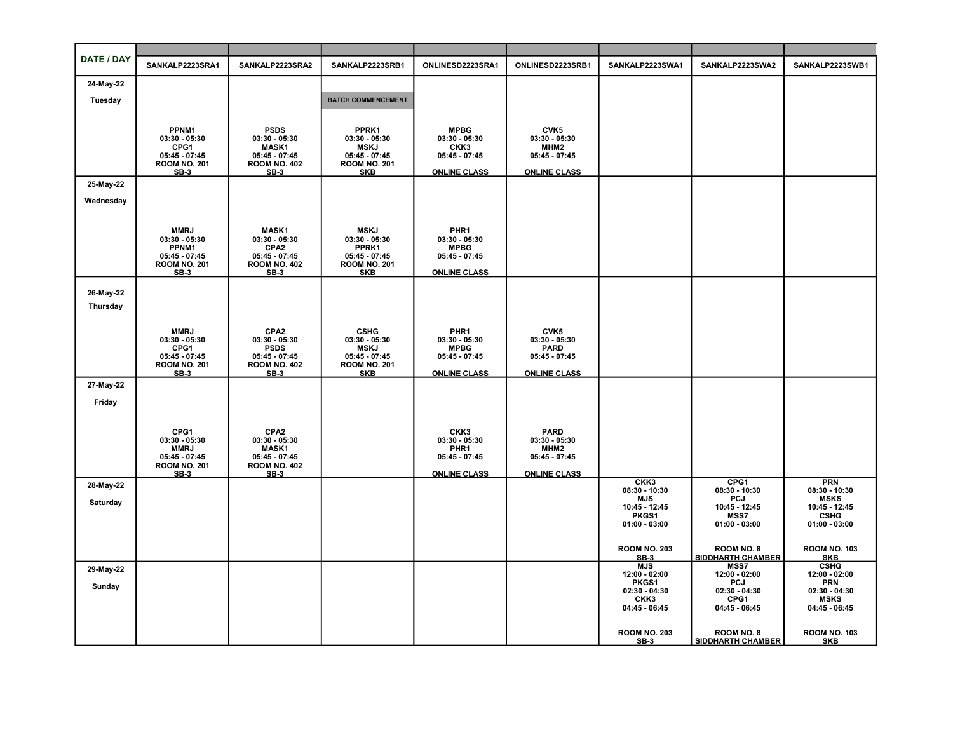| DATE / DAY     | SANKALP2223SRA1                        | SANKALP2223SRA2                        | SANKALP2223SRB1                        | ONLINESD2223SRA1               | ONLINESD2223SRB1               | SANKALP2223SWA1                   | SANKALP2223SWA2                        | SANKALP2223SWB1                   |
|----------------|----------------------------------------|----------------------------------------|----------------------------------------|--------------------------------|--------------------------------|-----------------------------------|----------------------------------------|-----------------------------------|
| 24-May-22      |                                        |                                        |                                        |                                |                                |                                   |                                        |                                   |
| <b>Tuesday</b> |                                        |                                        | <b>BATCH COMMENCEMENT</b>              |                                |                                |                                   |                                        |                                   |
|                |                                        |                                        |                                        |                                |                                |                                   |                                        |                                   |
|                |                                        |                                        |                                        |                                |                                |                                   |                                        |                                   |
|                | PPNM1<br>$03:30 - 05:30$               | <b>PSDS</b><br>$03:30 - 05:30$         | PPRK1<br>$03:30 - 05:30$               | <b>MPBG</b><br>$03:30 - 05:30$ | CVK5<br>$03:30 - 05:30$        |                                   |                                        |                                   |
|                | CPG1<br>$05:45 - 07:45$                | <b>MASK1</b><br>$05:45 - 07:45$        | <b>MSKJ</b><br>$05:45 - 07:45$         | CKK3<br>05:45 - 07:45          | MHM2<br>05:45 - 07:45          |                                   |                                        |                                   |
|                | <b>ROOM NO. 201</b>                    | <b>ROOM NO. 402</b>                    | <b>ROOM NO. 201</b>                    |                                |                                |                                   |                                        |                                   |
| 25-May-22      | $SB-3$                                 | $SB-3$                                 | <b>SKB</b>                             | <b>ONLINE CLASS</b>            | <b>ONLINE CLASS</b>            |                                   |                                        |                                   |
|                |                                        |                                        |                                        |                                |                                |                                   |                                        |                                   |
| Wednesday      |                                        |                                        |                                        |                                |                                |                                   |                                        |                                   |
|                |                                        |                                        |                                        |                                |                                |                                   |                                        |                                   |
|                | <b>MMRJ</b><br>$03:30 - 05:30$         | <b>MASK1</b><br>$03:30 - 05:30$        | <b>MSKJ</b><br>$03:30 - 05:30$         | PHR1<br>$03:30 - 05:30$        |                                |                                   |                                        |                                   |
|                | PPNM1                                  | CPA2                                   | PPRK1                                  | <b>MPBG</b>                    |                                |                                   |                                        |                                   |
|                | $05:45 - 07:45$<br><b>ROOM NO. 201</b> | $05:45 - 07:45$<br><b>ROOM NO. 402</b> | $05:45 - 07:45$<br><b>ROOM NO. 201</b> | $05:45 - 07:45$                |                                |                                   |                                        |                                   |
|                | $SB-3$                                 | $SB-3$                                 | <b>SKB</b>                             | <b>ONLINE CLASS</b>            |                                |                                   |                                        |                                   |
| 26-May-22      |                                        |                                        |                                        |                                |                                |                                   |                                        |                                   |
| Thursday       |                                        |                                        |                                        |                                |                                |                                   |                                        |                                   |
|                |                                        |                                        |                                        |                                |                                |                                   |                                        |                                   |
|                | <b>MMRJ</b>                            | CPA <sub>2</sub>                       | <b>CSHG</b>                            | PHR1                           | CVK5                           |                                   |                                        |                                   |
|                | $03:30 - 05:30$<br>CPG1                | $03:30 - 05:30$<br><b>PSDS</b>         | $03:30 - 05:30$<br><b>MSKJ</b>         | $03:30 - 05:30$<br><b>MPBG</b> | $03:30 - 05:30$<br><b>PARD</b> |                                   |                                        |                                   |
|                | $05:45 - 07:45$<br><b>ROOM NO. 201</b> | $05:45 - 07:45$<br><b>ROOM NO. 402</b> | $05:45 - 07:45$<br><b>ROOM NO. 201</b> | 05:45 - 07:45                  | $05:45 - 07:45$                |                                   |                                        |                                   |
|                | $SB-3$                                 | $SB-3$                                 | <b>SKB</b>                             | <b>ONLINE CLASS</b>            | <b>ONLINE CLASS</b>            |                                   |                                        |                                   |
| 27-May-22      |                                        |                                        |                                        |                                |                                |                                   |                                        |                                   |
| Friday         |                                        |                                        |                                        |                                |                                |                                   |                                        |                                   |
|                |                                        |                                        |                                        |                                |                                |                                   |                                        |                                   |
|                | CPG1                                   | CPA <sub>2</sub>                       |                                        | CKK3                           | <b>PARD</b>                    |                                   |                                        |                                   |
|                | $03:30 - 05:30$<br><b>MMRJ</b>         | $03:30 - 05:30$<br><b>MASK1</b>        |                                        | $03:30 - 05:30$<br>PHR1        | $03:30 - 05:30$<br>MHM2        |                                   |                                        |                                   |
|                | $05:45 - 07:45$                        | $05:45 - 07:45$                        |                                        | 05:45 - 07:45                  | 05:45 - 07:45                  |                                   |                                        |                                   |
|                | <b>ROOM NO. 201</b><br>$SB-3$          | <b>ROOM NO. 402</b><br>$SB-3$          |                                        | <b>ONLINE CLASS</b>            | <b>ONLINE CLASS</b>            |                                   |                                        |                                   |
| 28-May-22      |                                        |                                        |                                        |                                |                                | CKK <sub>3</sub><br>08:30 - 10:30 | CPG1<br>$08:30 - 10:30$                | <b>PRN</b><br>$08:30 - 10:30$     |
| Saturday       |                                        |                                        |                                        |                                |                                | MJS                               | PCJ                                    | <b>MSKS</b>                       |
|                |                                        |                                        |                                        |                                |                                | 10:45 - 12:45<br>PKGS1            | 10:45 - 12:45<br><b>MSS7</b>           | 10:45 - 12:45<br><b>CSHG</b>      |
|                |                                        |                                        |                                        |                                |                                | $01:00 - 03:00$                   | $01:00 - 03:00$                        | $01:00 - 03:00$                   |
|                |                                        |                                        |                                        |                                |                                |                                   |                                        |                                   |
|                |                                        |                                        |                                        |                                |                                | <b>ROOM NO. 203</b><br>$SB-3$     | ROOM NO. 8<br><b>SIDDHARTH CHAMBER</b> | <b>ROOM NO. 103</b><br><b>SKB</b> |
| 29-May-22      |                                        |                                        |                                        |                                |                                | MJS<br>12:00 - 02:00              | <b>MSS7</b><br>12:00 - 02:00           | <b>CSHG</b><br>12:00 - 02:00      |
| Sunday         |                                        |                                        |                                        |                                |                                | PKGS1                             | PCJ                                    | <b>PRN</b>                        |
|                |                                        |                                        |                                        |                                |                                | $02:30 - 04:30$<br>CKK3           | $02:30 - 04:30$<br>CPG1                | $02:30 - 04:30$<br><b>MSKS</b>    |
|                |                                        |                                        |                                        |                                |                                | 04:45 - 06:45                     | 04:45 - 06:45                          | 04:45 - 06:45                     |
|                |                                        |                                        |                                        |                                |                                |                                   |                                        |                                   |
|                |                                        |                                        |                                        |                                |                                | <b>ROOM NO. 203</b><br>$SB-3$     | ROOM NO. 8<br><b>SIDDHARTH CHAMBER</b> | <b>ROOM NO. 103</b><br><b>SKB</b> |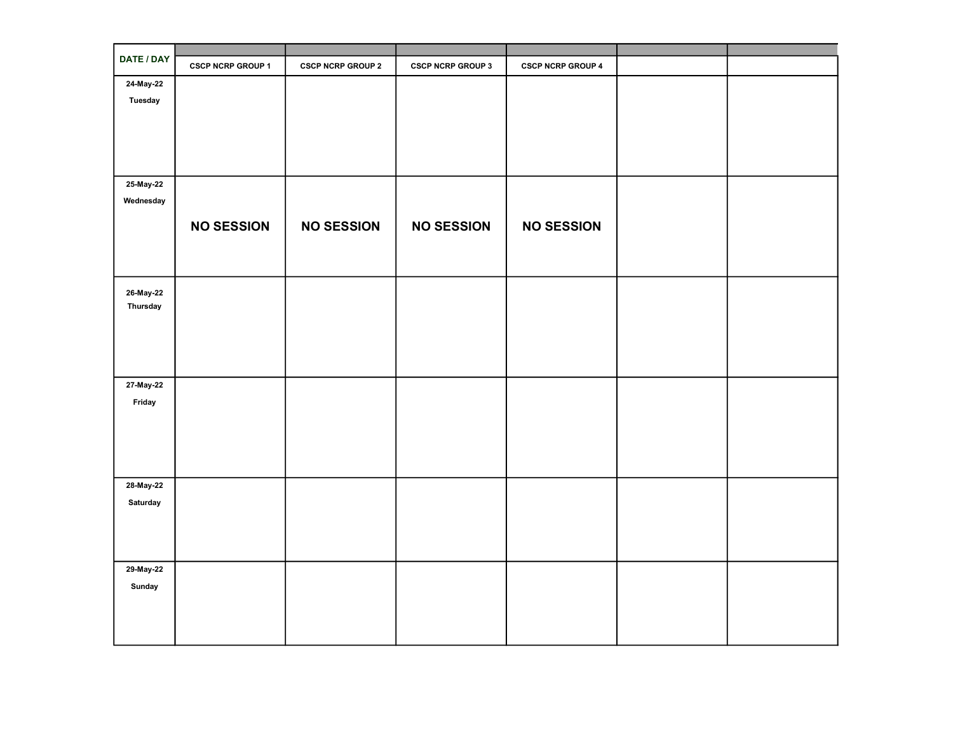| DATE / DAY            | <b>CSCP NCRP GROUP 1</b> | <b>CSCP NCRP GROUP 2</b> | <b>CSCP NCRP GROUP 3</b> | <b>CSCP NCRP GROUP 4</b> |  |
|-----------------------|--------------------------|--------------------------|--------------------------|--------------------------|--|
| 24-May-22             |                          |                          |                          |                          |  |
| <b>Tuesday</b>        |                          |                          |                          |                          |  |
|                       |                          |                          |                          |                          |  |
|                       |                          |                          |                          |                          |  |
|                       |                          |                          |                          |                          |  |
|                       |                          |                          |                          |                          |  |
| 25-May-22             |                          |                          |                          |                          |  |
| Wednesday             |                          |                          |                          |                          |  |
|                       |                          |                          |                          |                          |  |
|                       | <b>NO SESSION</b>        | <b>NO SESSION</b>        | <b>NO SESSION</b>        | <b>NO SESSION</b>        |  |
|                       |                          |                          |                          |                          |  |
|                       |                          |                          |                          |                          |  |
|                       |                          |                          |                          |                          |  |
| 26-May-22<br>Thursday |                          |                          |                          |                          |  |
|                       |                          |                          |                          |                          |  |
|                       |                          |                          |                          |                          |  |
|                       |                          |                          |                          |                          |  |
|                       |                          |                          |                          |                          |  |
| 27-May-22             |                          |                          |                          |                          |  |
| Friday                |                          |                          |                          |                          |  |
|                       |                          |                          |                          |                          |  |
|                       |                          |                          |                          |                          |  |
|                       |                          |                          |                          |                          |  |
|                       |                          |                          |                          |                          |  |
| 28-May-22             |                          |                          |                          |                          |  |
| Saturday              |                          |                          |                          |                          |  |
|                       |                          |                          |                          |                          |  |
|                       |                          |                          |                          |                          |  |
|                       |                          |                          |                          |                          |  |
| 29-May-22             |                          |                          |                          |                          |  |
| Sunday                |                          |                          |                          |                          |  |
|                       |                          |                          |                          |                          |  |
|                       |                          |                          |                          |                          |  |
|                       |                          |                          |                          |                          |  |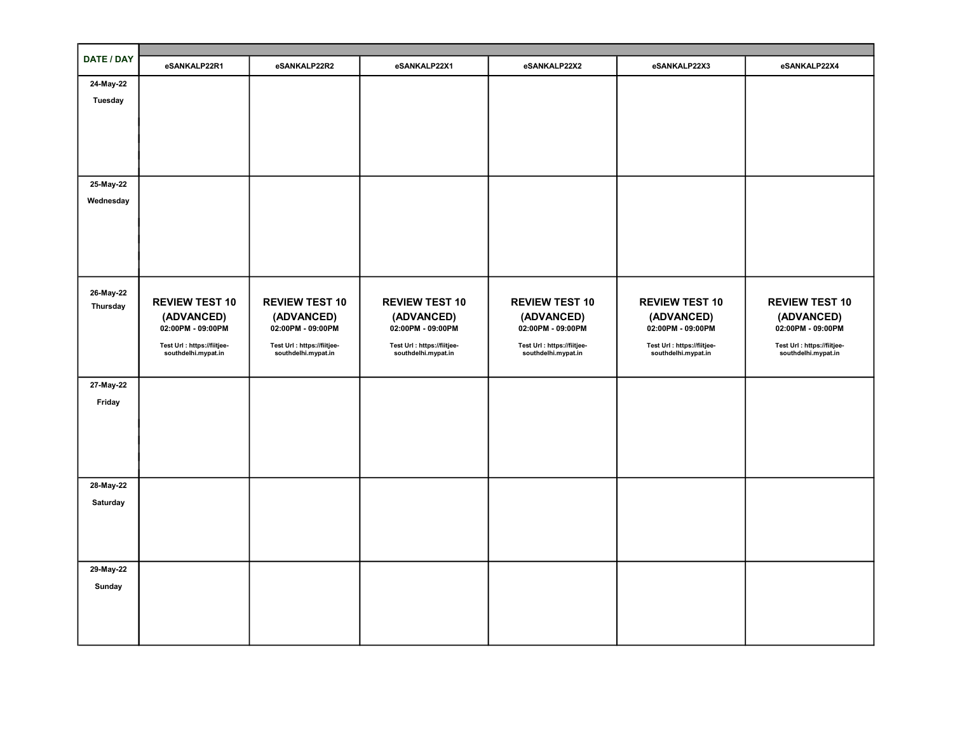| DATE / DAY     | eSANKALP22R1                    | eSANKALP22R2                    | eSANKALP22X1                    | eSANKALP22X2                    | eSANKALP22X3                    | eSANKALP22X4                    |
|----------------|---------------------------------|---------------------------------|---------------------------------|---------------------------------|---------------------------------|---------------------------------|
| 24-May-22      |                                 |                                 |                                 |                                 |                                 |                                 |
| <b>Tuesday</b> |                                 |                                 |                                 |                                 |                                 |                                 |
|                |                                 |                                 |                                 |                                 |                                 |                                 |
|                |                                 |                                 |                                 |                                 |                                 |                                 |
|                |                                 |                                 |                                 |                                 |                                 |                                 |
|                |                                 |                                 |                                 |                                 |                                 |                                 |
| 25-May-22      |                                 |                                 |                                 |                                 |                                 |                                 |
| Wednesday      |                                 |                                 |                                 |                                 |                                 |                                 |
|                |                                 |                                 |                                 |                                 |                                 |                                 |
|                |                                 |                                 |                                 |                                 |                                 |                                 |
|                |                                 |                                 |                                 |                                 |                                 |                                 |
|                |                                 |                                 |                                 |                                 |                                 |                                 |
| 26-May-22      |                                 |                                 |                                 |                                 |                                 |                                 |
| Thursday       | <b>REVIEW TEST 10</b>           | <b>REVIEW TEST 10</b>           | <b>REVIEW TEST 10</b>           | <b>REVIEW TEST 10</b>           | <b>REVIEW TEST 10</b>           | <b>REVIEW TEST 10</b>           |
|                | (ADVANCED)<br>02:00PM - 09:00PM | (ADVANCED)<br>02:00PM - 09:00PM | (ADVANCED)<br>02:00PM - 09:00PM | (ADVANCED)<br>02:00PM - 09:00PM | (ADVANCED)<br>02:00PM - 09:00PM | (ADVANCED)<br>02:00PM - 09:00PM |
|                | Test Url : https://fiitjee-     | Test Url : https://fiitjee-     | Test Url : https://fiitjee-     | Test Url : https://fiitjee-     | Test Url : https://fiitjee-     | Test Url : https://fiitjee-     |
|                | southdelhi.mypat.in             | southdelhi.mypat.in             | southdelhi.mypat.in             | southdelhi.mypat.in             | southdelhi.mypat.in             | southdelhi.mypat.in             |
|                |                                 |                                 |                                 |                                 |                                 |                                 |
| 27-May-22      |                                 |                                 |                                 |                                 |                                 |                                 |
| Friday         |                                 |                                 |                                 |                                 |                                 |                                 |
|                |                                 |                                 |                                 |                                 |                                 |                                 |
|                |                                 |                                 |                                 |                                 |                                 |                                 |
|                |                                 |                                 |                                 |                                 |                                 |                                 |
|                |                                 |                                 |                                 |                                 |                                 |                                 |
| 28-May-22      |                                 |                                 |                                 |                                 |                                 |                                 |
| Saturday       |                                 |                                 |                                 |                                 |                                 |                                 |
|                |                                 |                                 |                                 |                                 |                                 |                                 |
|                |                                 |                                 |                                 |                                 |                                 |                                 |
|                |                                 |                                 |                                 |                                 |                                 |                                 |
| 29-May-22      |                                 |                                 |                                 |                                 |                                 |                                 |
| Sunday         |                                 |                                 |                                 |                                 |                                 |                                 |
|                |                                 |                                 |                                 |                                 |                                 |                                 |
|                |                                 |                                 |                                 |                                 |                                 |                                 |
|                |                                 |                                 |                                 |                                 |                                 |                                 |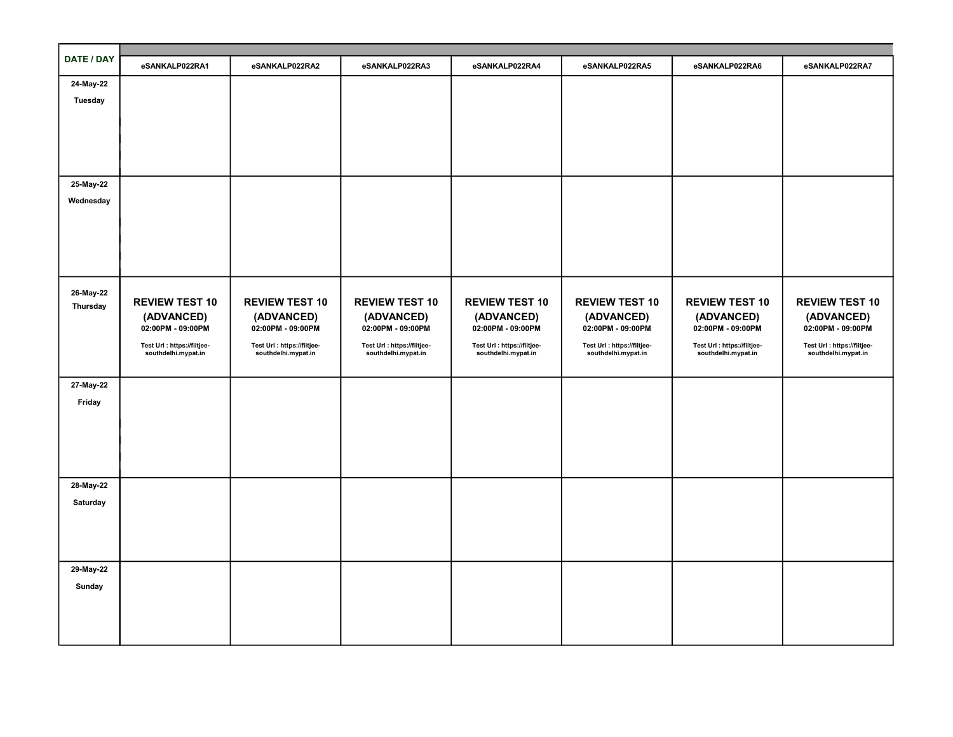| DATE / DAY | eSANKALP022RA1                                     | eSANKALP022RA2                                     | eSANKALP022RA3                                     | eSANKALP022RA4                                     | eSANKALP022RA5                                     | eSANKALP022RA6                                     | eSANKALP022RA7                                     |
|------------|----------------------------------------------------|----------------------------------------------------|----------------------------------------------------|----------------------------------------------------|----------------------------------------------------|----------------------------------------------------|----------------------------------------------------|
| 24-May-22  |                                                    |                                                    |                                                    |                                                    |                                                    |                                                    |                                                    |
| Tuesday    |                                                    |                                                    |                                                    |                                                    |                                                    |                                                    |                                                    |
|            |                                                    |                                                    |                                                    |                                                    |                                                    |                                                    |                                                    |
|            |                                                    |                                                    |                                                    |                                                    |                                                    |                                                    |                                                    |
|            |                                                    |                                                    |                                                    |                                                    |                                                    |                                                    |                                                    |
|            |                                                    |                                                    |                                                    |                                                    |                                                    |                                                    |                                                    |
| 25-May-22  |                                                    |                                                    |                                                    |                                                    |                                                    |                                                    |                                                    |
| Wednesday  |                                                    |                                                    |                                                    |                                                    |                                                    |                                                    |                                                    |
|            |                                                    |                                                    |                                                    |                                                    |                                                    |                                                    |                                                    |
|            |                                                    |                                                    |                                                    |                                                    |                                                    |                                                    |                                                    |
|            |                                                    |                                                    |                                                    |                                                    |                                                    |                                                    |                                                    |
|            |                                                    |                                                    |                                                    |                                                    |                                                    |                                                    |                                                    |
|            |                                                    |                                                    |                                                    |                                                    |                                                    |                                                    |                                                    |
| 26-May-22  |                                                    |                                                    |                                                    |                                                    |                                                    |                                                    |                                                    |
| Thursday   | <b>REVIEW TEST 10</b>                              | <b>REVIEW TEST 10</b>                              | <b>REVIEW TEST 10</b>                              | <b>REVIEW TEST 10</b>                              | <b>REVIEW TEST 10</b>                              | <b>REVIEW TEST 10</b>                              | <b>REVIEW TEST 10</b>                              |
|            | (ADVANCED)                                         | (ADVANCED)                                         | (ADVANCED)                                         | (ADVANCED)                                         | (ADVANCED)                                         | (ADVANCED)                                         | (ADVANCED)                                         |
|            | 02:00PM - 09:00PM                                  | 02:00PM - 09:00PM                                  | 02:00PM - 09:00PM                                  | 02:00PM - 09:00PM                                  | 02:00PM - 09:00PM                                  | 02:00PM - 09:00PM                                  | 02:00PM - 09:00PM                                  |
|            | Test Url : https://fiitjee-<br>southdelhi.mypat.in | Test Url : https://fiitjee-<br>southdelhi.mypat.in | Test Url : https://fiitjee-<br>southdelhi.mypat.in | Test Url : https://fiitjee-<br>southdelhi.mypat.in | Test Url : https://fiitjee-<br>southdelhi.mypat.in | Test Url : https://fiitjee-<br>southdelhi.mypat.in | Test Url : https://fiitjee-<br>southdelhi.mypat.in |
|            |                                                    |                                                    |                                                    |                                                    |                                                    |                                                    |                                                    |
| 27-May-22  |                                                    |                                                    |                                                    |                                                    |                                                    |                                                    |                                                    |
| Friday     |                                                    |                                                    |                                                    |                                                    |                                                    |                                                    |                                                    |
|            |                                                    |                                                    |                                                    |                                                    |                                                    |                                                    |                                                    |
|            |                                                    |                                                    |                                                    |                                                    |                                                    |                                                    |                                                    |
|            |                                                    |                                                    |                                                    |                                                    |                                                    |                                                    |                                                    |
|            |                                                    |                                                    |                                                    |                                                    |                                                    |                                                    |                                                    |
| 28-May-22  |                                                    |                                                    |                                                    |                                                    |                                                    |                                                    |                                                    |
|            |                                                    |                                                    |                                                    |                                                    |                                                    |                                                    |                                                    |
| Saturday   |                                                    |                                                    |                                                    |                                                    |                                                    |                                                    |                                                    |
|            |                                                    |                                                    |                                                    |                                                    |                                                    |                                                    |                                                    |
|            |                                                    |                                                    |                                                    |                                                    |                                                    |                                                    |                                                    |
|            |                                                    |                                                    |                                                    |                                                    |                                                    |                                                    |                                                    |
| 29-May-22  |                                                    |                                                    |                                                    |                                                    |                                                    |                                                    |                                                    |
| Sunday     |                                                    |                                                    |                                                    |                                                    |                                                    |                                                    |                                                    |
|            |                                                    |                                                    |                                                    |                                                    |                                                    |                                                    |                                                    |
|            |                                                    |                                                    |                                                    |                                                    |                                                    |                                                    |                                                    |
|            |                                                    |                                                    |                                                    |                                                    |                                                    |                                                    |                                                    |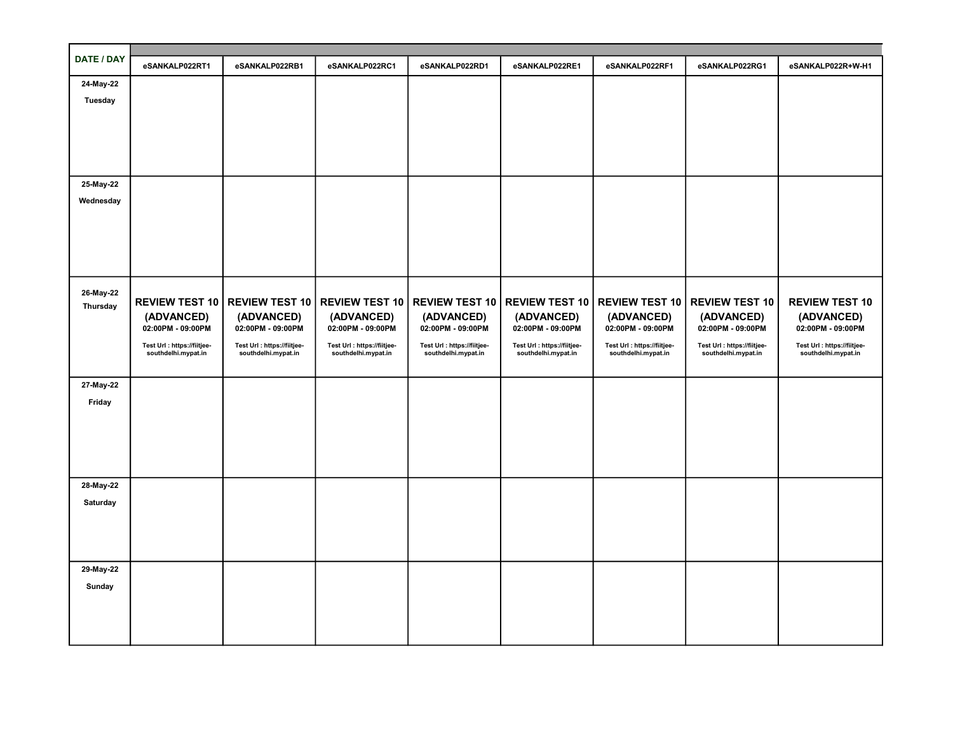| <b>DATE / DAY</b> |                                                    |                                                    |                                                    |                                                    |                                                    |                                                    |                                                    |                                                    |
|-------------------|----------------------------------------------------|----------------------------------------------------|----------------------------------------------------|----------------------------------------------------|----------------------------------------------------|----------------------------------------------------|----------------------------------------------------|----------------------------------------------------|
|                   | eSANKALP022RT1                                     | eSANKALP022RB1                                     | eSANKALP022RC1                                     | eSANKALP022RD1                                     | eSANKALP022RE1                                     | eSANKALP022RF1                                     | eSANKALP022RG1                                     | eSANKALP022R+W-H1                                  |
| 24-May-22         |                                                    |                                                    |                                                    |                                                    |                                                    |                                                    |                                                    |                                                    |
| Tuesday           |                                                    |                                                    |                                                    |                                                    |                                                    |                                                    |                                                    |                                                    |
|                   |                                                    |                                                    |                                                    |                                                    |                                                    |                                                    |                                                    |                                                    |
|                   |                                                    |                                                    |                                                    |                                                    |                                                    |                                                    |                                                    |                                                    |
|                   |                                                    |                                                    |                                                    |                                                    |                                                    |                                                    |                                                    |                                                    |
|                   |                                                    |                                                    |                                                    |                                                    |                                                    |                                                    |                                                    |                                                    |
| 25-May-22         |                                                    |                                                    |                                                    |                                                    |                                                    |                                                    |                                                    |                                                    |
| Wednesday         |                                                    |                                                    |                                                    |                                                    |                                                    |                                                    |                                                    |                                                    |
|                   |                                                    |                                                    |                                                    |                                                    |                                                    |                                                    |                                                    |                                                    |
|                   |                                                    |                                                    |                                                    |                                                    |                                                    |                                                    |                                                    |                                                    |
|                   |                                                    |                                                    |                                                    |                                                    |                                                    |                                                    |                                                    |                                                    |
|                   |                                                    |                                                    |                                                    |                                                    |                                                    |                                                    |                                                    |                                                    |
|                   |                                                    |                                                    |                                                    |                                                    |                                                    |                                                    |                                                    |                                                    |
| 26-May-22         | <b>REVIEW TEST 10</b>                              | <b>REVIEW TEST 10</b>                              | <b>REVIEW TEST 10</b>                              | REVIEW TEST 10   REVIEW TEST 10                    |                                                    | <b>REVIEW TEST 10</b>                              | <b>REVIEW TEST 10</b>                              | <b>REVIEW TEST 10</b>                              |
| Thursday          | (ADVANCED)                                         | (ADVANCED)                                         | (ADVANCED)                                         | (ADVANCED)                                         | (ADVANCED)                                         | (ADVANCED)                                         | (ADVANCED)                                         | (ADVANCED)                                         |
|                   | 02:00PM - 09:00PM                                  | 02:00PM - 09:00PM                                  | 02:00PM - 09:00PM                                  | 02:00PM - 09:00PM                                  | 02:00PM - 09:00PM                                  | 02:00PM - 09:00PM                                  | 02:00PM - 09:00PM                                  | 02:00PM - 09:00PM                                  |
|                   | Test Url : https://fiitjee-<br>southdelhi.mypat.in | Test Url : https://fiitjee-<br>southdelhi.mypat.in | Test Url : https://fiitjee-<br>southdelhi.mypat.in | Test Url : https://fiitjee-<br>southdelhi.mypat.in | Test Url : https://fiitjee-<br>southdelhi.mypat.in | Test Url : https://fiitjee-<br>southdelhi.mypat.in | Test Url : https://fiitjee-<br>southdelhi.mypat.in | Test Url : https://fiitjee-<br>southdelhi.mypat.in |
|                   |                                                    |                                                    |                                                    |                                                    |                                                    |                                                    |                                                    |                                                    |
| 27-May-22         |                                                    |                                                    |                                                    |                                                    |                                                    |                                                    |                                                    |                                                    |
| Friday            |                                                    |                                                    |                                                    |                                                    |                                                    |                                                    |                                                    |                                                    |
|                   |                                                    |                                                    |                                                    |                                                    |                                                    |                                                    |                                                    |                                                    |
|                   |                                                    |                                                    |                                                    |                                                    |                                                    |                                                    |                                                    |                                                    |
|                   |                                                    |                                                    |                                                    |                                                    |                                                    |                                                    |                                                    |                                                    |
|                   |                                                    |                                                    |                                                    |                                                    |                                                    |                                                    |                                                    |                                                    |
|                   |                                                    |                                                    |                                                    |                                                    |                                                    |                                                    |                                                    |                                                    |
| 28-May-22         |                                                    |                                                    |                                                    |                                                    |                                                    |                                                    |                                                    |                                                    |
| Saturday          |                                                    |                                                    |                                                    |                                                    |                                                    |                                                    |                                                    |                                                    |
|                   |                                                    |                                                    |                                                    |                                                    |                                                    |                                                    |                                                    |                                                    |
|                   |                                                    |                                                    |                                                    |                                                    |                                                    |                                                    |                                                    |                                                    |
|                   |                                                    |                                                    |                                                    |                                                    |                                                    |                                                    |                                                    |                                                    |
| 29-May-22         |                                                    |                                                    |                                                    |                                                    |                                                    |                                                    |                                                    |                                                    |
| Sunday            |                                                    |                                                    |                                                    |                                                    |                                                    |                                                    |                                                    |                                                    |
|                   |                                                    |                                                    |                                                    |                                                    |                                                    |                                                    |                                                    |                                                    |
|                   |                                                    |                                                    |                                                    |                                                    |                                                    |                                                    |                                                    |                                                    |
|                   |                                                    |                                                    |                                                    |                                                    |                                                    |                                                    |                                                    |                                                    |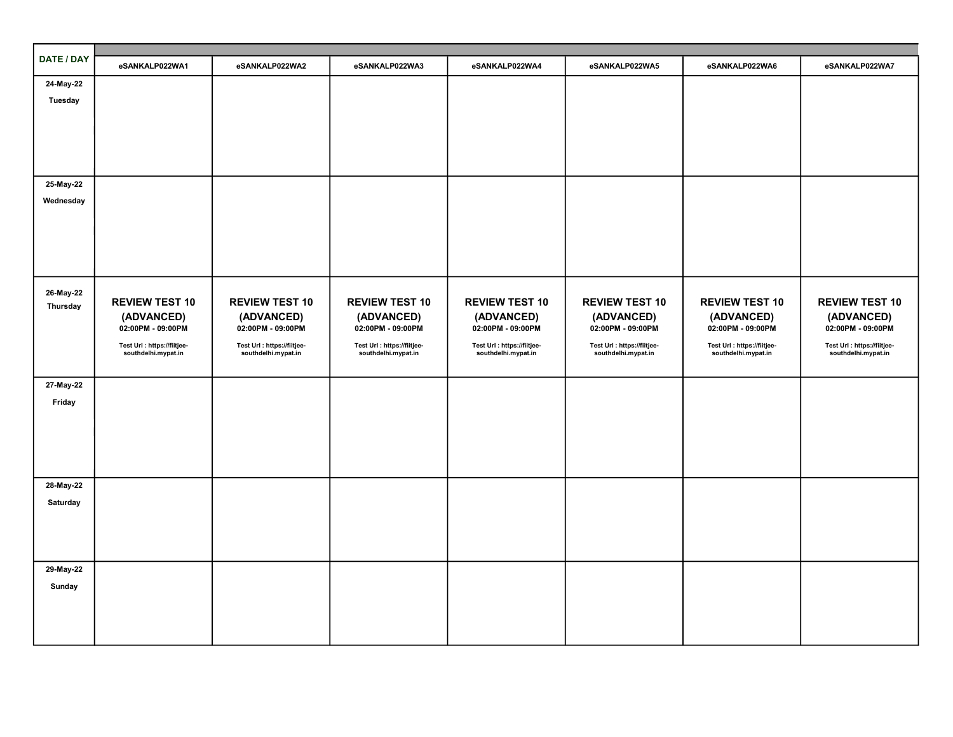| DATE / DAY | eSANKALP022WA1                                     | eSANKALP022WA2                                     | eSANKALP022WA3                                     | eSANKALP022WA4                                     | eSANKALP022WA5                                     | eSANKALP022WA6                                     | eSANKALP022WA7                                     |
|------------|----------------------------------------------------|----------------------------------------------------|----------------------------------------------------|----------------------------------------------------|----------------------------------------------------|----------------------------------------------------|----------------------------------------------------|
| 24-May-22  |                                                    |                                                    |                                                    |                                                    |                                                    |                                                    |                                                    |
| Tuesday    |                                                    |                                                    |                                                    |                                                    |                                                    |                                                    |                                                    |
|            |                                                    |                                                    |                                                    |                                                    |                                                    |                                                    |                                                    |
|            |                                                    |                                                    |                                                    |                                                    |                                                    |                                                    |                                                    |
|            |                                                    |                                                    |                                                    |                                                    |                                                    |                                                    |                                                    |
|            |                                                    |                                                    |                                                    |                                                    |                                                    |                                                    |                                                    |
| 25-May-22  |                                                    |                                                    |                                                    |                                                    |                                                    |                                                    |                                                    |
| Wednesday  |                                                    |                                                    |                                                    |                                                    |                                                    |                                                    |                                                    |
|            |                                                    |                                                    |                                                    |                                                    |                                                    |                                                    |                                                    |
|            |                                                    |                                                    |                                                    |                                                    |                                                    |                                                    |                                                    |
|            |                                                    |                                                    |                                                    |                                                    |                                                    |                                                    |                                                    |
|            |                                                    |                                                    |                                                    |                                                    |                                                    |                                                    |                                                    |
| 26-May-22  | <b>REVIEW TEST 10</b>                              | <b>REVIEW TEST 10</b>                              | <b>REVIEW TEST 10</b>                              | <b>REVIEW TEST 10</b>                              | <b>REVIEW TEST 10</b>                              | <b>REVIEW TEST 10</b>                              | <b>REVIEW TEST 10</b>                              |
| Thursday   | (ADVANCED)                                         | (ADVANCED)                                         | (ADVANCED)                                         | (ADVANCED)                                         | (ADVANCED)                                         | (ADVANCED)                                         | (ADVANCED)                                         |
|            | 02:00PM - 09:00PM                                  | 02:00PM - 09:00PM                                  | 02:00PM - 09:00PM                                  | 02:00PM - 09:00PM                                  | 02:00PM - 09:00PM                                  | 02:00PM - 09:00PM                                  | 02:00PM - 09:00PM                                  |
|            | Test Url : https://fiitjee-<br>southdelhi.mypat.in | Test Url : https://fiitjee-<br>southdelhi.mypat.in | Test Url : https://fiitjee-<br>southdelhi.mypat.in | Test Url : https://fiitjee-<br>southdelhi.mypat.in | Test Url : https://fiitjee-<br>southdelhi.mypat.in | Test Url : https://fiitjee-<br>southdelhi.mypat.in | Test Url : https://fiitjee-<br>southdelhi.mypat.in |
|            |                                                    |                                                    |                                                    |                                                    |                                                    |                                                    |                                                    |
| 27-May-22  |                                                    |                                                    |                                                    |                                                    |                                                    |                                                    |                                                    |
| Friday     |                                                    |                                                    |                                                    |                                                    |                                                    |                                                    |                                                    |
|            |                                                    |                                                    |                                                    |                                                    |                                                    |                                                    |                                                    |
|            |                                                    |                                                    |                                                    |                                                    |                                                    |                                                    |                                                    |
|            |                                                    |                                                    |                                                    |                                                    |                                                    |                                                    |                                                    |
|            |                                                    |                                                    |                                                    |                                                    |                                                    |                                                    |                                                    |
| 28-May-22  |                                                    |                                                    |                                                    |                                                    |                                                    |                                                    |                                                    |
| Saturday   |                                                    |                                                    |                                                    |                                                    |                                                    |                                                    |                                                    |
|            |                                                    |                                                    |                                                    |                                                    |                                                    |                                                    |                                                    |
|            |                                                    |                                                    |                                                    |                                                    |                                                    |                                                    |                                                    |
|            |                                                    |                                                    |                                                    |                                                    |                                                    |                                                    |                                                    |
| 29-May-22  |                                                    |                                                    |                                                    |                                                    |                                                    |                                                    |                                                    |
| Sunday     |                                                    |                                                    |                                                    |                                                    |                                                    |                                                    |                                                    |
|            |                                                    |                                                    |                                                    |                                                    |                                                    |                                                    |                                                    |
|            |                                                    |                                                    |                                                    |                                                    |                                                    |                                                    |                                                    |
|            |                                                    |                                                    |                                                    |                                                    |                                                    |                                                    |                                                    |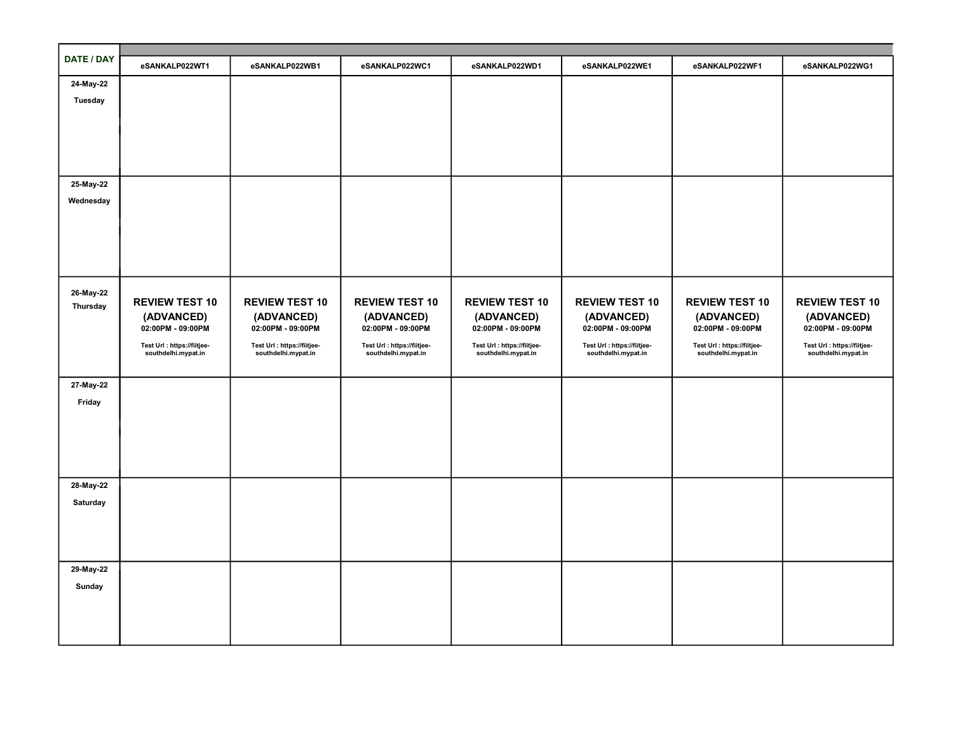| DATE / DAY |                             |                             |                             |                             |                             |                             |                             |
|------------|-----------------------------|-----------------------------|-----------------------------|-----------------------------|-----------------------------|-----------------------------|-----------------------------|
|            | eSANKALP022WT1              | eSANKALP022WB1              | eSANKALP022WC1              | eSANKALP022WD1              | eSANKALP022WE1              | eSANKALP022WF1              | eSANKALP022WG1              |
| 24-May-22  |                             |                             |                             |                             |                             |                             |                             |
| Tuesday    |                             |                             |                             |                             |                             |                             |                             |
|            |                             |                             |                             |                             |                             |                             |                             |
|            |                             |                             |                             |                             |                             |                             |                             |
|            |                             |                             |                             |                             |                             |                             |                             |
|            |                             |                             |                             |                             |                             |                             |                             |
| 25-May-22  |                             |                             |                             |                             |                             |                             |                             |
| Wednesday  |                             |                             |                             |                             |                             |                             |                             |
|            |                             |                             |                             |                             |                             |                             |                             |
|            |                             |                             |                             |                             |                             |                             |                             |
|            |                             |                             |                             |                             |                             |                             |                             |
|            |                             |                             |                             |                             |                             |                             |                             |
|            |                             |                             |                             |                             |                             |                             |                             |
| 26-May-22  | <b>REVIEW TEST 10</b>       | <b>REVIEW TEST 10</b>       | <b>REVIEW TEST 10</b>       | <b>REVIEW TEST 10</b>       | <b>REVIEW TEST 10</b>       | <b>REVIEW TEST 10</b>       | <b>REVIEW TEST 10</b>       |
| Thursday   | (ADVANCED)                  | (ADVANCED)                  | (ADVANCED)                  | (ADVANCED)                  | (ADVANCED)                  | (ADVANCED)                  | (ADVANCED)                  |
|            | 02:00PM - 09:00PM           | 02:00PM - 09:00PM           | 02:00PM - 09:00PM           | 02:00PM - 09:00PM           | 02:00PM - 09:00PM           | 02:00PM - 09:00PM           | 02:00PM - 09:00PM           |
|            | Test Url : https://fiitjee- | Test Url : https://fiitjee- | Test Url : https://fiitjee- | Test Url : https://fiitjee- | Test Url : https://fiitjee- | Test Url : https://fiitjee- | Test Url : https://fiitjee- |
|            | southdelhi.mypat.in         | southdelhi.mypat.in         | southdelhi.mypat.in         | southdelhi.mypat.in         | southdelhi.mypat.in         | southdelhi.mypat.in         | southdelhi.mypat.in         |
|            |                             |                             |                             |                             |                             |                             |                             |
| 27-May-22  |                             |                             |                             |                             |                             |                             |                             |
| Friday     |                             |                             |                             |                             |                             |                             |                             |
|            |                             |                             |                             |                             |                             |                             |                             |
|            |                             |                             |                             |                             |                             |                             |                             |
|            |                             |                             |                             |                             |                             |                             |                             |
|            |                             |                             |                             |                             |                             |                             |                             |
| 28-May-22  |                             |                             |                             |                             |                             |                             |                             |
| Saturday   |                             |                             |                             |                             |                             |                             |                             |
|            |                             |                             |                             |                             |                             |                             |                             |
|            |                             |                             |                             |                             |                             |                             |                             |
|            |                             |                             |                             |                             |                             |                             |                             |
| 29-May-22  |                             |                             |                             |                             |                             |                             |                             |
| Sunday     |                             |                             |                             |                             |                             |                             |                             |
|            |                             |                             |                             |                             |                             |                             |                             |
|            |                             |                             |                             |                             |                             |                             |                             |
|            |                             |                             |                             |                             |                             |                             |                             |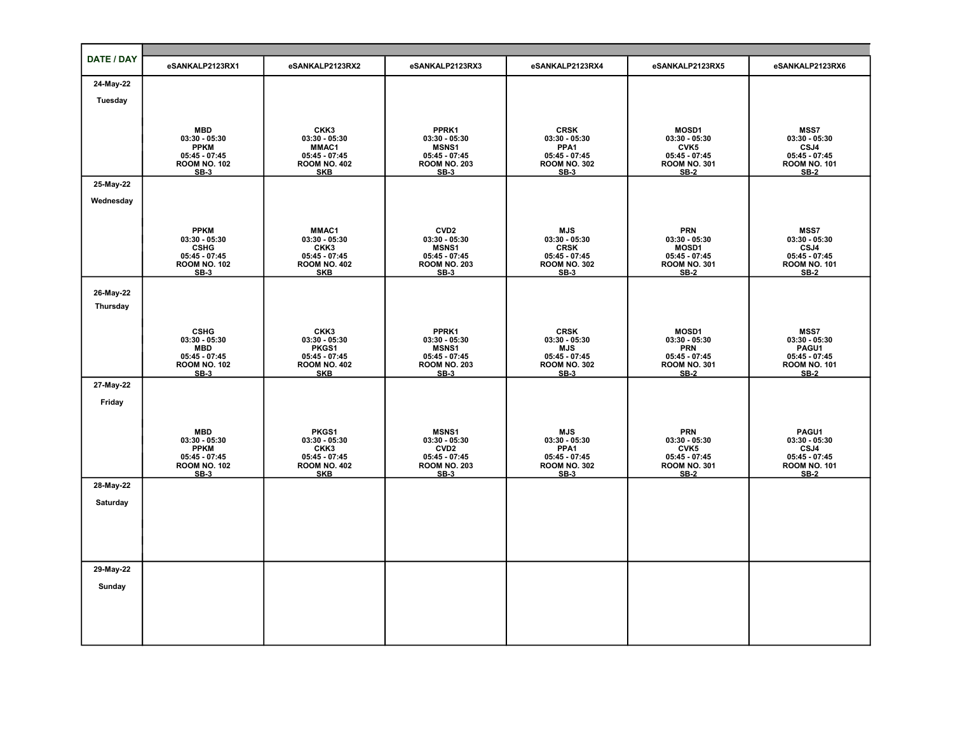| DATE / DAY | eSANKALP2123RX1                        | eSANKALP2123RX2                        | eSANKALP2123RX3                        | eSANKALP2123RX4                        | eSANKALP2123RX5                        | eSANKALP2123RX6                        |
|------------|----------------------------------------|----------------------------------------|----------------------------------------|----------------------------------------|----------------------------------------|----------------------------------------|
| 24-May-22  |                                        |                                        |                                        |                                        |                                        |                                        |
| Tuesday    |                                        |                                        |                                        |                                        |                                        |                                        |
|            |                                        |                                        |                                        |                                        |                                        |                                        |
|            | <b>MBD</b>                             | CKK3                                   | PPRK1                                  | <b>CRSK</b>                            | <b>MOSD1</b>                           | <b>MSS7</b>                            |
|            | $03:30 - 05:30$<br><b>PPKM</b>         | $03:30 - 05:30$<br>MMAC1               | $03:30 - 05:30$<br><b>MSNS1</b>        | $03:30 - 05:30$<br>PPA1                | $03:30 - 05:30$<br>CVK5                | $03:30 - 05:30$<br>CSJ4                |
|            | $05:45 - 07:45$<br><b>ROOM NO. 102</b> | $05:45 - 07:45$<br><b>ROOM NO. 402</b> | $05:45 - 07:45$<br><b>ROOM NO. 203</b> | $05:45 - 07:45$<br><b>ROOM NO. 302</b> | $05:45 - 07:45$<br><b>ROOM NO. 301</b> | $05:45 - 07:45$<br><b>ROOM NO. 101</b> |
|            | $SB-3$                                 | <b>SKB</b>                             | $SB-3$                                 | $SB-3$                                 | <b>SB-2</b>                            | <b>SB-2</b>                            |
| 25-May-22  |                                        |                                        |                                        |                                        |                                        |                                        |
| Wednesday  |                                        |                                        |                                        |                                        |                                        |                                        |
|            |                                        |                                        |                                        |                                        |                                        |                                        |
|            | <b>PPKM</b><br>$03:30 - 05:30$         | MMAC1                                  | CVD <sub>2</sub><br>$03:30 - 05:30$    | <b>MJS</b><br>$03:30 - 05:30$          | <b>PRN</b>                             | MSS7                                   |
|            | <b>CSHG</b>                            | $03:30 - 05:30$<br>CKK3                | <b>MSNS1</b>                           | <b>CRSK</b>                            | $03:30 - 05:30$<br>MOSD1               | $03:30 - 05:30$<br>CSJ4                |
|            | $05:45 - 07:45$<br><b>ROOM NO. 102</b> | 05:45 - 07:45<br>ROOM NO. 402          | $05:45 - 07:45$<br><b>ROOM NO. 203</b> | $05:45 - 07:45$<br><b>ROOM NO. 302</b> | $05:45 - 07:45$<br><b>ROOM NO. 301</b> | $05:45 - 07:45$<br><b>ROOM NO. 101</b> |
|            | $SB-3$                                 | <b>SKB</b>                             | $SB-3$                                 | $SB-3$                                 | <b>SB-2</b>                            | $SB-2$                                 |
| 26-May-22  |                                        |                                        |                                        |                                        |                                        |                                        |
| Thursday   |                                        |                                        |                                        |                                        |                                        |                                        |
|            |                                        |                                        |                                        |                                        |                                        |                                        |
|            | <b>CSHG</b><br>$03:30 - 05:30$         | CKK3<br>$03:30 - 05:30$                | PPRK1<br>$03:30 - 05:30$               | <b>CRSK</b><br>$03:30 - 05:30$         | <b>MOSD1</b><br>$03:30 - 05:30$        | <b>MSS7</b><br>$03:30 - 05:30$         |
|            | <b>MBD</b><br>$05:45 - 07:45$          | PKGS1<br>$05:45 - 07:45$               | <b>MSNS1</b><br>$05:45 - 07:45$        | <b>MJS</b><br>$05:45 - 07:45$          | <b>PRN</b><br>$05:45 - 07:45$          | PAGU1<br>$05:45 - 07:45$               |
|            | <b>ROOM NO. 102</b><br>$SB-3$          | <b>ROOM NO. 402</b><br><b>SKB</b>      | <b>ROOM NO. 203</b><br>$SB-3$          | <b>ROOM NO. 302</b><br>$SB-3$          | <b>ROOM NO. 301</b><br>$SB-2$          | <b>ROOM NO. 101</b><br>$SB-2$          |
| 27-May-22  |                                        |                                        |                                        |                                        |                                        |                                        |
| Friday     |                                        |                                        |                                        |                                        |                                        |                                        |
|            |                                        |                                        |                                        |                                        |                                        |                                        |
|            | MBD<br>03:30 - 05:30                   | PKGS1                                  | <b>MSNS1</b>                           | MJS                                    | PRN<br>03:30 - 05:30                   | PAGU1                                  |
|            | <b>PPKM</b>                            | $03:30 - 05:30$<br>CKK3                | $03:30 - 05:30$<br>CVD <sub>2</sub>    | $03:30 - 05:30$<br>PPA1                | CVK5                                   | $03:30 - 05:30$<br>CSJ4                |
|            | $05:45 - 07:45$<br><b>ROOM NO. 102</b> | $05:45 - 07:45$<br><b>ROOM NO. 402</b> | $05:45 - 07:45$<br><b>ROOM NO. 203</b> | $05:45 - 07:45$<br><b>ROOM NO. 302</b> | $05:45 - 07:45$<br><b>ROOM NO. 301</b> | $05:45 - 07:45$<br><b>ROOM NO. 101</b> |
|            | $SB-3$                                 | <b>SKB</b>                             | $SB-3$                                 | $SB-3$                                 | <b>SB-2</b>                            | $SB-2$                                 |
| 28-May-22  |                                        |                                        |                                        |                                        |                                        |                                        |
| Saturday   |                                        |                                        |                                        |                                        |                                        |                                        |
|            |                                        |                                        |                                        |                                        |                                        |                                        |
|            |                                        |                                        |                                        |                                        |                                        |                                        |
|            |                                        |                                        |                                        |                                        |                                        |                                        |
| 29-May-22  |                                        |                                        |                                        |                                        |                                        |                                        |
| Sunday     |                                        |                                        |                                        |                                        |                                        |                                        |
|            |                                        |                                        |                                        |                                        |                                        |                                        |
|            |                                        |                                        |                                        |                                        |                                        |                                        |
|            |                                        |                                        |                                        |                                        |                                        |                                        |
|            |                                        |                                        |                                        |                                        |                                        |                                        |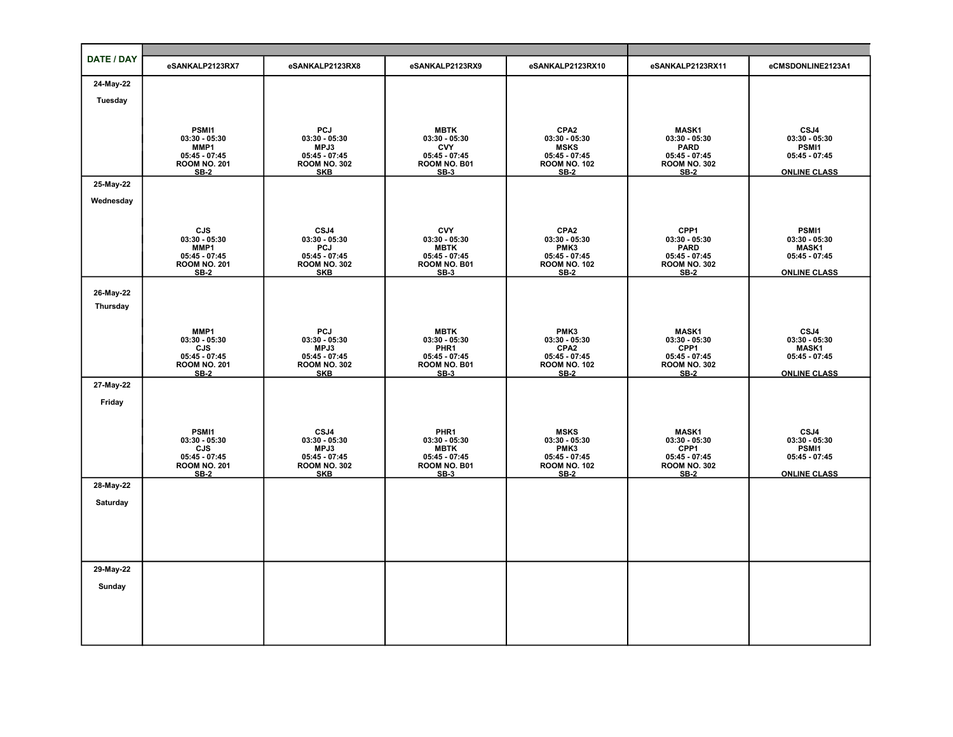| DATE / DAY            | eSANKALP2123RX7                        | eSANKALP2123RX8                        | eSANKALP2123RX9                 | eSANKALP2123RX10                       | eSANKALP2123RX11                       | eCMSDONLINE2123A1               |
|-----------------------|----------------------------------------|----------------------------------------|---------------------------------|----------------------------------------|----------------------------------------|---------------------------------|
| 24-May-22             |                                        |                                        |                                 |                                        |                                        |                                 |
| Tuesday               |                                        |                                        |                                 |                                        |                                        |                                 |
|                       |                                        |                                        |                                 |                                        |                                        |                                 |
|                       | PSMI1                                  | <b>PCJ</b>                             | <b>MBTK</b>                     | CPA <sub>2</sub>                       | <b>MASK1</b>                           | CSJ4                            |
|                       | $03:30 - 05:30$<br>MMP1                | $03:30 - 05:30$<br>MPJ3                | $03:30 - 05:30$<br><b>CVY</b>   | $03:30 - 05:30$<br><b>MSKS</b>         | $03:30 - 05:30$<br><b>PARD</b>         | $03:30 - 05:30$<br>PSMI1        |
|                       | $05:45 - 07:45$<br><b>ROOM NO. 201</b> | $05:45 - 07:45$<br><b>ROOM NO. 302</b> | $05:45 - 07:45$<br>ROOM NO. B01 | $05:45 - 07:45$<br><b>ROOM NO. 102</b> | $05:45 - 07:45$<br><b>ROOM NO. 302</b> | $05:45 - 07:45$                 |
|                       | <b>SB-2</b>                            | <b>SKB</b>                             | $SB-3$                          | <b>SB-2</b>                            | <b>SB-2</b>                            | <b>ONLINE CLASS</b>             |
| 25-May-22             |                                        |                                        |                                 |                                        |                                        |                                 |
| Wednesday             |                                        |                                        |                                 |                                        |                                        |                                 |
|                       |                                        |                                        |                                 |                                        |                                        |                                 |
|                       | CJS<br>$03:30 - 05:30$                 | CSJ4<br>$03:30 - 05:30$                | <b>CVY</b><br>$03:30 - 05:30$   | CPA <sub>2</sub><br>$03:30 - 05:30$    | CPP1<br>$03:30 - 05:30$                | PSMI1<br>$03:30 - 05:30$        |
|                       | MMP1<br>$05:45 - 07:45$                | PCJ<br>$05:45 - 07:45$                 | <b>MBTK</b><br>$05:45 - 07:45$  | PMK3<br>$05:45 - 07:45$                | <b>PARD</b><br>$05:45 - 07:45$         | <b>MASK1</b><br>$05:45 - 07:45$ |
|                       | <b>ROOM NO. 201</b><br>$SB-2$          | <b>ROOM NO. 302</b><br><b>SKB</b>      | ROOM NO. B01<br>$SB-3$          | <b>ROOM NO. 102</b><br><b>SB-2</b>     | <b>ROOM NO. 302</b><br><b>SB-2</b>     | <b>ONLINE CLASS</b>             |
|                       |                                        |                                        |                                 |                                        |                                        |                                 |
| 26-May-22<br>Thursday |                                        |                                        |                                 |                                        |                                        |                                 |
|                       |                                        |                                        |                                 |                                        |                                        |                                 |
|                       | MMP1<br>$03:30 - 05:30$                | PCJ<br>$03:30 - 05:30$                 | <b>MBTK</b><br>$03:30 - 05:30$  | PMK3<br>$03:30 - 05:30$                | <b>MASK1</b><br>$03:30 - 05:30$        | CSJ4<br>$03:30 - 05:30$         |
|                       | CJS                                    | MPJ3                                   | PHR1                            | CPA <sub>2</sub>                       | CPP1                                   | <b>MASK1</b>                    |
|                       | $05:45 - 07:45$<br><b>ROOM NO. 201</b> | $05:45 - 07:45$<br><b>ROOM NO. 302</b> | $05:45 - 07:45$<br>ROOM NO. B01 | $05:45 - 07:45$<br><b>ROOM NO. 102</b> | $05:45 - 07:45$<br><b>ROOM NO. 302</b> | $05:45 - 07:45$                 |
| 27-May-22             | $SB-2$                                 | <b>SKB</b>                             | $SB-3$                          | $SB-2$                                 | $SB-2$                                 | <b>ONLINE CLASS</b>             |
|                       |                                        |                                        |                                 |                                        |                                        |                                 |
| Friday                |                                        |                                        |                                 |                                        |                                        |                                 |
|                       | PSMI1                                  | CSJ4                                   | PHR1                            | <b>MSKS</b>                            | MASK1                                  | CSJ4                            |
|                       | $03:30 - 05:30$                        | $03:30 - 05:30$                        | $03:30 - 05:30$                 | $03:30 - 05:30$                        | $03:30 - 05:30$                        | $03:30 - 05:30$                 |
|                       | CJS<br>$05:45 - 07:45$                 | MPJ3<br>$05:45 - 07:45$                | <b>MBTK</b><br>$05:45 - 07:45$  | PMK3<br>$05:45 - 07:45$                | CPP1<br>$05:45 - 07:45$                | PSMI1<br>$05:45 - 07:45$        |
|                       | <b>ROOM NO. 201</b><br><b>SB-2</b>     | <b>ROOM NO. 302</b><br><b>SKB</b>      | ROOM NO. B01<br>$SB-3$          | <b>ROOM NO. 102</b><br><b>SB-2</b>     | <b>ROOM NO. 302</b><br><b>SB-2</b>     | <b>ONLINE CLASS</b>             |
| 28-May-22             |                                        |                                        |                                 |                                        |                                        |                                 |
| Saturday              |                                        |                                        |                                 |                                        |                                        |                                 |
|                       |                                        |                                        |                                 |                                        |                                        |                                 |
|                       |                                        |                                        |                                 |                                        |                                        |                                 |
|                       |                                        |                                        |                                 |                                        |                                        |                                 |
| 29-May-22             |                                        |                                        |                                 |                                        |                                        |                                 |
| Sunday                |                                        |                                        |                                 |                                        |                                        |                                 |
|                       |                                        |                                        |                                 |                                        |                                        |                                 |
|                       |                                        |                                        |                                 |                                        |                                        |                                 |
|                       |                                        |                                        |                                 |                                        |                                        |                                 |
|                       |                                        |                                        |                                 |                                        |                                        |                                 |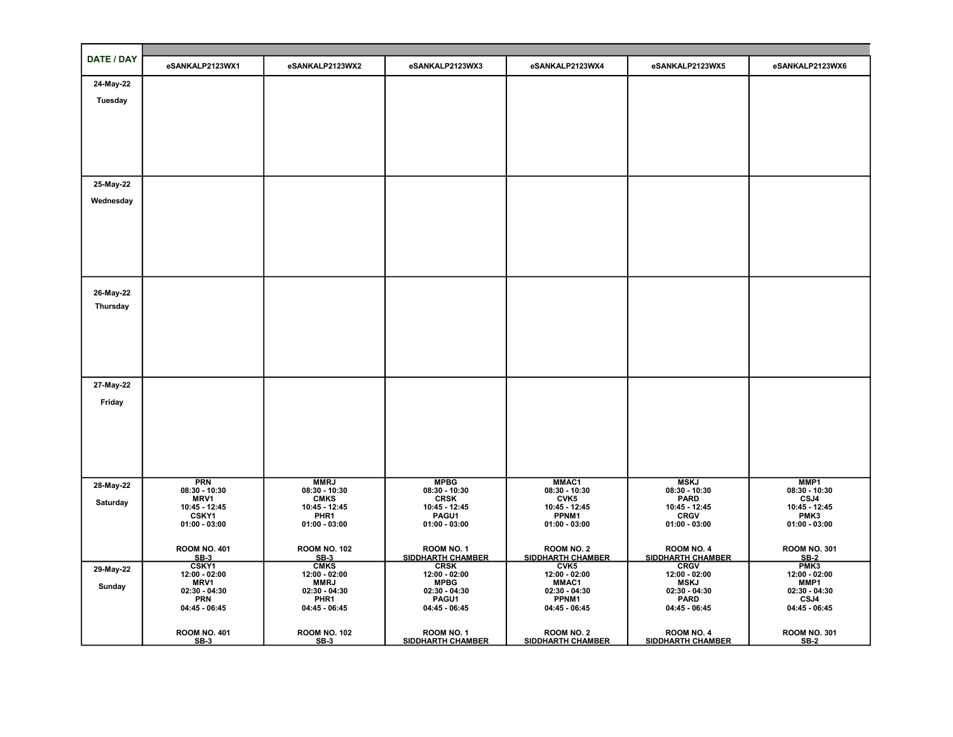| DATE / DAY | eSANKALP2123WX1                    | eSANKALP2123WX2                     | eSANKALP2123WX3                        | eSANKALP2123WX4                        | eSANKALP2123WX5                        | eSANKALP2123WX6                    |
|------------|------------------------------------|-------------------------------------|----------------------------------------|----------------------------------------|----------------------------------------|------------------------------------|
| 24-May-22  |                                    |                                     |                                        |                                        |                                        |                                    |
| Tuesday    |                                    |                                     |                                        |                                        |                                        |                                    |
|            |                                    |                                     |                                        |                                        |                                        |                                    |
|            |                                    |                                     |                                        |                                        |                                        |                                    |
|            |                                    |                                     |                                        |                                        |                                        |                                    |
|            |                                    |                                     |                                        |                                        |                                        |                                    |
| 25-May-22  |                                    |                                     |                                        |                                        |                                        |                                    |
| Wednesday  |                                    |                                     |                                        |                                        |                                        |                                    |
|            |                                    |                                     |                                        |                                        |                                        |                                    |
|            |                                    |                                     |                                        |                                        |                                        |                                    |
|            |                                    |                                     |                                        |                                        |                                        |                                    |
|            |                                    |                                     |                                        |                                        |                                        |                                    |
| 26-May-22  |                                    |                                     |                                        |                                        |                                        |                                    |
| Thursday   |                                    |                                     |                                        |                                        |                                        |                                    |
|            |                                    |                                     |                                        |                                        |                                        |                                    |
|            |                                    |                                     |                                        |                                        |                                        |                                    |
|            |                                    |                                     |                                        |                                        |                                        |                                    |
|            |                                    |                                     |                                        |                                        |                                        |                                    |
| 27-May-22  |                                    |                                     |                                        |                                        |                                        |                                    |
| Friday     |                                    |                                     |                                        |                                        |                                        |                                    |
|            |                                    |                                     |                                        |                                        |                                        |                                    |
|            |                                    |                                     |                                        |                                        |                                        |                                    |
|            |                                    |                                     |                                        |                                        |                                        |                                    |
|            |                                    |                                     |                                        |                                        |                                        |                                    |
| 28-May-22  | <b>PRN</b><br>$08:30 - 10:30$      | <b>MMRJ</b><br>$08:30 - 10:30$      | <b>MPBG</b><br>$08:30 - 10:30$         | MMAC1<br>$08:30 - 10:30$               | <b>MSKJ</b><br>$08:30 - 10:30$         | MMP1<br>$08:30 - 10:30$            |
| Saturday   | <b>MRV1</b><br>10:45 - 12:45       | <b>CMKS</b><br>10:45 - 12:45        | <b>CRSK</b><br>10:45 - 12:45           | CVK5<br>10:45 - 12:45                  | <b>PARD</b><br>10:45 - 12:45           | CSJ4<br>10:45 - 12:45              |
|            | <b>CSKY1</b><br>$01:00 - 03:00$    | PHR <sub>1</sub><br>$01:00 - 03:00$ | PAGU1<br>$01:00 - 03:00$               | PPNM1<br>$01:00 - 03:00$               | <b>CRGV</b><br>$01:00 - 03:00$         | PMK3<br>$01:00 - 03:00$            |
|            |                                    |                                     |                                        |                                        |                                        |                                    |
|            | <b>ROOM NO. 401</b><br><b>SB-3</b> | <b>ROOM NO. 102</b><br>$SB-3$       | ROOM NO. 1<br>SIDDHARTH CHAMBER        | ROOM NO. 2<br><b>SIDDHARTH CHAMBER</b> | ROOM NO. 4<br>SIDDHARTH CHAMBER        | <b>ROOM NO. 301</b><br><b>SB-2</b> |
| 29-May-22  | CSKY1<br>$12:00 - 02:00$           | <b>CMKS</b><br>12:00 - 02:00        | <b>CRSK</b><br>$12:00 - 02:00$         | CVK5<br>12:00 - 02:00                  | <b>CRGV</b><br>$12:00 - 02:00$         | PMK <sub>3</sub><br>12:00 - 02:00  |
| Sunday     | MRV1<br>$02:30 - 04:30$            | <b>MMRJ</b><br>$02:30 - 04:30$      | <b>MPBG</b><br>$02:30 - 04:30$         | MMAC1<br>$02:30 - 04:30$               | <b>MSKJ</b><br>$02:30 - 04:30$         | MMP1<br>$02:30 - 04:30$            |
|            | <b>PRN</b><br>04:45 - 06:45        | PHR1<br>04:45 - 06:45               | PAGU1<br>04:45 - 06:45                 | PPNM1<br>04:45 - 06:45                 | <b>PARD</b><br>04:45 - 06:45           | CSJ4<br>04:45 - 06:45              |
|            |                                    |                                     |                                        |                                        |                                        |                                    |
|            | <b>ROOM NO. 401</b><br><b>SB-3</b> | <b>ROOM NO. 102</b><br>$SB-3$       | ROOM NO. 1<br><b>SIDDHARTH CHAMBER</b> | ROOM NO. 2<br><b>SIDDHARTH CHAMBER</b> | ROOM NO. 4<br><b>SIDDHARTH CHAMBER</b> | <b>ROOM NO. 301</b><br>$SB-2$      |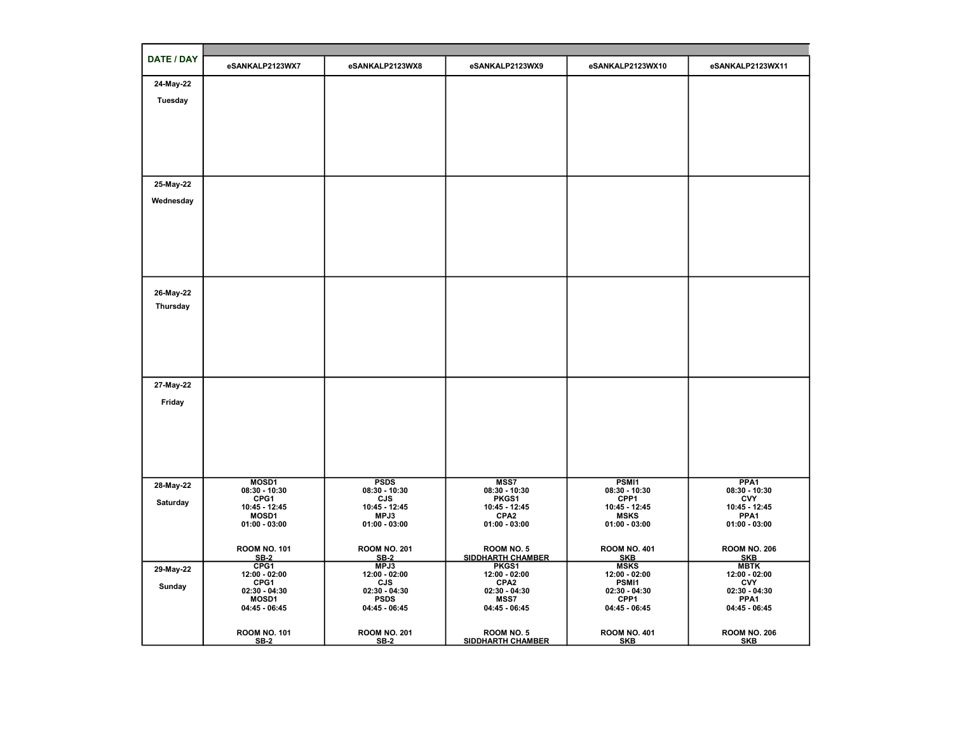| DATE / DAY | eSANKALP2123WX7                 | eSANKALP2123WX8                | eSANKALP2123WX9                        | eSANKALP2123WX10                  | eSANKALP2123WX11                    |  |  |  |  |
|------------|---------------------------------|--------------------------------|----------------------------------------|-----------------------------------|-------------------------------------|--|--|--|--|
| 24-May-22  |                                 |                                |                                        |                                   |                                     |  |  |  |  |
| Tuesday    |                                 |                                |                                        |                                   |                                     |  |  |  |  |
|            |                                 |                                |                                        |                                   |                                     |  |  |  |  |
|            |                                 |                                |                                        |                                   |                                     |  |  |  |  |
|            |                                 |                                |                                        |                                   |                                     |  |  |  |  |
|            |                                 |                                |                                        |                                   |                                     |  |  |  |  |
|            |                                 |                                |                                        |                                   |                                     |  |  |  |  |
| 25-May-22  |                                 |                                |                                        |                                   |                                     |  |  |  |  |
| Wednesday  |                                 |                                |                                        |                                   |                                     |  |  |  |  |
|            |                                 |                                |                                        |                                   |                                     |  |  |  |  |
|            |                                 |                                |                                        |                                   |                                     |  |  |  |  |
|            |                                 |                                |                                        |                                   |                                     |  |  |  |  |
|            |                                 |                                |                                        |                                   |                                     |  |  |  |  |
|            |                                 |                                |                                        |                                   |                                     |  |  |  |  |
| 26-May-22  |                                 |                                |                                        |                                   |                                     |  |  |  |  |
| Thursday   |                                 |                                |                                        |                                   |                                     |  |  |  |  |
|            |                                 |                                |                                        |                                   |                                     |  |  |  |  |
|            |                                 |                                |                                        |                                   |                                     |  |  |  |  |
|            |                                 |                                |                                        |                                   |                                     |  |  |  |  |
|            |                                 |                                |                                        |                                   |                                     |  |  |  |  |
| 27-May-22  |                                 |                                |                                        |                                   |                                     |  |  |  |  |
| Friday     |                                 |                                |                                        |                                   |                                     |  |  |  |  |
|            |                                 |                                |                                        |                                   |                                     |  |  |  |  |
|            |                                 |                                |                                        |                                   |                                     |  |  |  |  |
|            |                                 |                                |                                        |                                   |                                     |  |  |  |  |
|            |                                 |                                |                                        |                                   |                                     |  |  |  |  |
|            |                                 |                                |                                        |                                   |                                     |  |  |  |  |
| 28-May-22  | MOSD1<br>$08:30 - 10:30$        | <b>PSDS</b><br>$08:30 - 10:30$ | MSS7<br>$08:30 - 10:30$                | PSMI1<br>$08:30 - 10:30$          | PPA <sub>1</sub><br>$08:30 - 10:30$ |  |  |  |  |
| Saturday   | CPG1<br>10:45 - 12:45           | <b>CJS</b><br>10:45 - 12:45    | PKGS1<br>10:45 - 12:45                 | CPP1<br>10:45 - 12:45             | <b>CVY</b><br>10:45 - 12:45         |  |  |  |  |
|            | MOSD1<br>$01:00 - 03:00$        | MPJ3<br>$01:00 - 03:00$        | CPA <sub>2</sub><br>$01:00 - 03:00$    | <b>MSKS</b><br>$01:00 - 03:00$    | PPA1<br>$01:00 - 03:00$             |  |  |  |  |
|            |                                 |                                |                                        |                                   |                                     |  |  |  |  |
|            | <b>ROOM NO. 101</b>             | <b>ROOM NO. 201</b>            | ROOM NO. 5                             | <b>ROOM NO. 401</b>               | <b>ROOM NO. 206</b>                 |  |  |  |  |
| 29-May-22  | $SB-2$<br>CPG1                  | <b>SB-2</b><br>MPJ3            | <b>SIDDHARTH CHAMBER</b><br>PKGS1      | <b>SKB</b><br><b>MSKS</b>         | <b>SKB</b><br><b>MBTK</b>           |  |  |  |  |
|            | 12:00 - 02:00<br>CPG1           | 12:00 - 02:00<br><b>CJS</b>    | 12:00 - 02:00<br>CPA <sub>2</sub>      | 12:00 - 02:00<br>PSMI1            | 12:00 - 02:00<br><b>CVY</b>         |  |  |  |  |
| Sunday     | $02:30 - 04:30$<br><b>MOSD1</b> | $02:30 - 04:30$<br><b>PSDS</b> | $02:30 - 04:30$<br><b>MSS7</b>         | $02:30 - 04:30$<br>CPP1           | $02:30 - 04:30$<br>PPA <sub>1</sub> |  |  |  |  |
|            | $04:45 - 06:45$                 | 04:45 - 06:45                  | 04:45 - 06:45                          | 04:45 - 06:45                     | 04:45 - 06:45                       |  |  |  |  |
|            |                                 |                                |                                        |                                   |                                     |  |  |  |  |
|            | <b>ROOM NO. 101</b><br>$SB-2$   | <b>ROOM NO. 201</b><br>$SB-2$  | ROOM NO. 5<br><b>SIDDHARTH CHAMBER</b> | <b>ROOM NO. 401</b><br><b>SKB</b> | <b>ROOM NO. 206</b><br><b>SKB</b>   |  |  |  |  |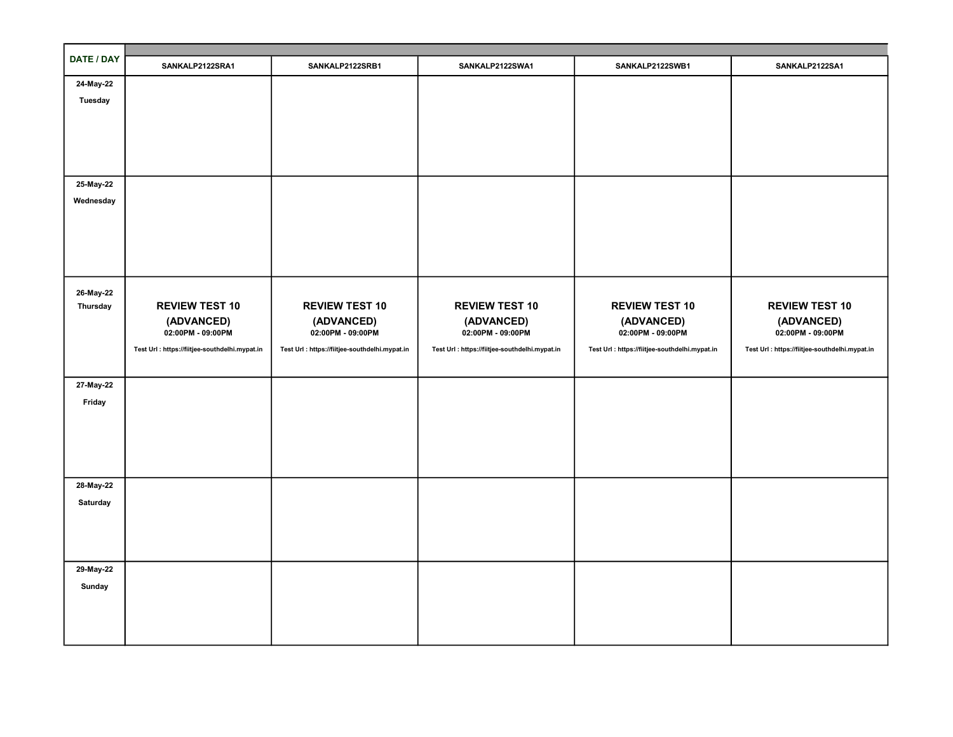| DATE / DAY            | SANKALP2122SRA1                                | SANKALP2122SRB1                                | SANKALP2122SWA1                                | SANKALP2122SWB1                                | SANKALP2122SA1                                 |
|-----------------------|------------------------------------------------|------------------------------------------------|------------------------------------------------|------------------------------------------------|------------------------------------------------|
| 24-May-22             |                                                |                                                |                                                |                                                |                                                |
| <b>Tuesday</b>        |                                                |                                                |                                                |                                                |                                                |
|                       |                                                |                                                |                                                |                                                |                                                |
|                       |                                                |                                                |                                                |                                                |                                                |
|                       |                                                |                                                |                                                |                                                |                                                |
|                       |                                                |                                                |                                                |                                                |                                                |
| 25-May-22             |                                                |                                                |                                                |                                                |                                                |
| Wednesday             |                                                |                                                |                                                |                                                |                                                |
|                       |                                                |                                                |                                                |                                                |                                                |
|                       |                                                |                                                |                                                |                                                |                                                |
|                       |                                                |                                                |                                                |                                                |                                                |
|                       |                                                |                                                |                                                |                                                |                                                |
|                       |                                                |                                                |                                                |                                                |                                                |
| 26-May-22<br>Thursday | <b>REVIEW TEST 10</b>                          | <b>REVIEW TEST 10</b>                          | <b>REVIEW TEST 10</b>                          | <b>REVIEW TEST 10</b>                          | <b>REVIEW TEST 10</b>                          |
|                       | (ADVANCED)                                     | (ADVANCED)                                     | (ADVANCED)                                     | (ADVANCED)                                     | (ADVANCED)                                     |
|                       | 02:00PM - 09:00PM                              | 02:00PM - 09:00PM                              | 02:00PM - 09:00PM                              | 02:00PM - 09:00PM                              | 02:00PM - 09:00PM                              |
|                       | Test Url : https://fiitjee-southdelhi.mypat.in | Test Url : https://fiitjee-southdelhi.mypat.in | Test Url : https://fiitjee-southdelhi.mypat.in | Test Url : https://fiitjee-southdelhi.mypat.in | Test Url : https://fiitjee-southdelhi.mypat.in |
|                       |                                                |                                                |                                                |                                                |                                                |
| 27-May-22             |                                                |                                                |                                                |                                                |                                                |
| Friday                |                                                |                                                |                                                |                                                |                                                |
|                       |                                                |                                                |                                                |                                                |                                                |
|                       |                                                |                                                |                                                |                                                |                                                |
|                       |                                                |                                                |                                                |                                                |                                                |
|                       |                                                |                                                |                                                |                                                |                                                |
| 28-May-22             |                                                |                                                |                                                |                                                |                                                |
| Saturday              |                                                |                                                |                                                |                                                |                                                |
|                       |                                                |                                                |                                                |                                                |                                                |
|                       |                                                |                                                |                                                |                                                |                                                |
|                       |                                                |                                                |                                                |                                                |                                                |
| 29-May-22             |                                                |                                                |                                                |                                                |                                                |
| Sunday                |                                                |                                                |                                                |                                                |                                                |
|                       |                                                |                                                |                                                |                                                |                                                |
|                       |                                                |                                                |                                                |                                                |                                                |
|                       |                                                |                                                |                                                |                                                |                                                |
|                       |                                                |                                                |                                                |                                                |                                                |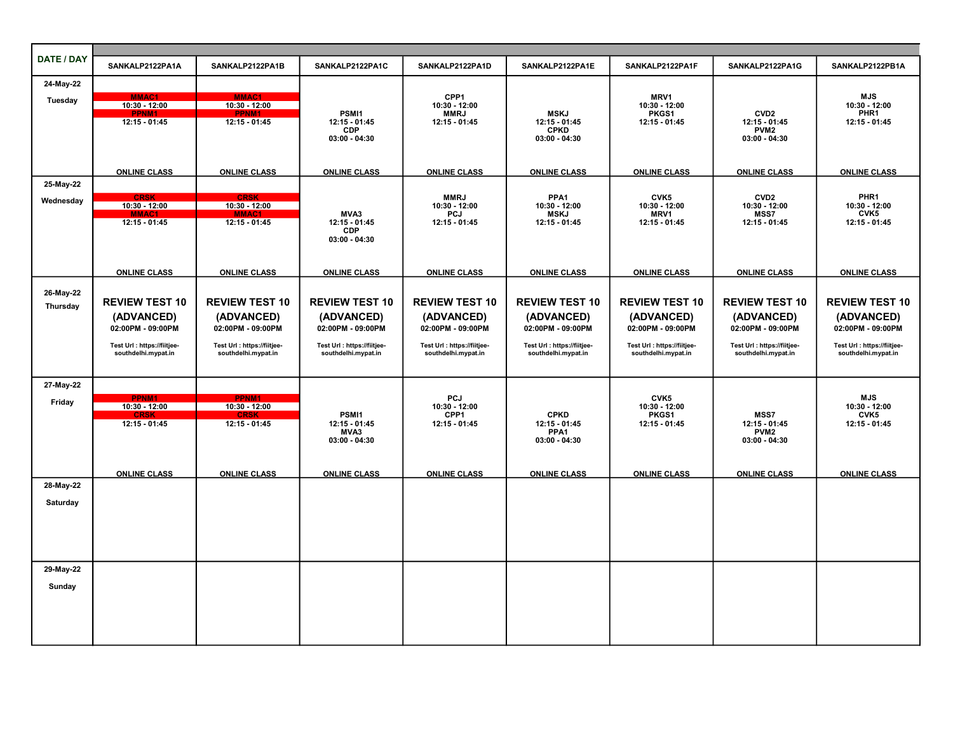| DATE / DAY            |                                                    |                                                    |                                                    |                                                    |                                                    |                                                    |                                                    |                                                    |
|-----------------------|----------------------------------------------------|----------------------------------------------------|----------------------------------------------------|----------------------------------------------------|----------------------------------------------------|----------------------------------------------------|----------------------------------------------------|----------------------------------------------------|
|                       | SANKALP2122PA1A                                    | SANKALP2122PA1B                                    | SANKALP2122PA1C                                    | SANKALP2122PA1D                                    | SANKALP2122PA1E                                    | SANKALP2122PA1F                                    | SANKALP2122PA1G                                    | SANKALP2122PB1A                                    |
| 24-May-22             |                                                    |                                                    |                                                    |                                                    |                                                    |                                                    |                                                    |                                                    |
| Tuesday               | <b>MMAC1</b><br>10:30 - 12:00                      | MMAC1<br>10:30 - 12:00                             |                                                    | CPP <sub>1</sub><br>10:30 - 12:00                  |                                                    | MRV1<br>10:30 - 12:00                              |                                                    | <b>MJS</b><br>10:30 - 12:00                        |
|                       | 12:15 - 01:45                                      | 12:15 - 01:45                                      | PSMI1<br>$12:15 - 01:45$                           | <b>MMRJ</b><br>12:15 - 01:45                       | <b>MSKJ</b><br>12:15 - 01:45                       | PKGS1<br>12:15 - 01:45                             | CVD <sub>2</sub><br>12:15 - 01:45                  | PHR1<br>12:15 - 01:45                              |
|                       |                                                    |                                                    | <b>CDP</b><br>$03:00 - 04:30$                      |                                                    | <b>CPKD</b><br>$03:00 - 04:30$                     |                                                    | PVM <sub>2</sub><br>$03:00 - 04:30$                |                                                    |
|                       |                                                    |                                                    |                                                    |                                                    |                                                    |                                                    |                                                    |                                                    |
|                       | <b>ONLINE CLASS</b>                                | <b>ONLINE CLASS</b>                                | <b>ONLINE CLASS</b>                                | <b>ONLINE CLASS</b>                                | <b>ONLINE CLASS</b>                                | <b>ONLINE CLASS</b>                                | <b>ONLINE CLASS</b>                                | <b>ONLINE CLASS</b>                                |
| 25-May-22             |                                                    |                                                    |                                                    |                                                    |                                                    |                                                    |                                                    |                                                    |
| Wednesday             | <b>CRSK</b><br>10:30 - 12:00                       | CRSK<br>$10:30 - 12:00$                            |                                                    | <b>MMRJ</b><br>10:30 - 12:00                       | PPA <sub>1</sub><br>$10:30 - 12:00$                | CVK5<br>10:30 - 12:00                              | CVD <sub>2</sub><br>$10:30 - 12:00$                | PHR <sub>1</sub><br>$10:30 - 12:00$                |
|                       | $12:15 - 01:45$                                    | 12:15 - 01:45                                      | MVA3<br>12:15 - 01:45                              | <b>PCJ</b><br>12:15 - 01:45                        | <b>MSKJ</b><br>$12:15 - 01:45$                     | MRV1<br>12:15 - 01:45                              | <b>MSS7</b><br>12:15 - 01:45                       | CVK5<br>12:15 - 01:45                              |
|                       |                                                    |                                                    | <b>CDP</b><br>$03:00 - 04:30$                      |                                                    |                                                    |                                                    |                                                    |                                                    |
|                       |                                                    |                                                    |                                                    |                                                    |                                                    |                                                    |                                                    |                                                    |
|                       | <b>ONLINE CLASS</b>                                | <b>ONLINE CLASS</b>                                | <b>ONLINE CLASS</b>                                | <b>ONLINE CLASS</b>                                | <b>ONLINE CLASS</b>                                | <b>ONLINE CLASS</b>                                | <b>ONLINE CLASS</b>                                | <b>ONLINE CLASS</b>                                |
|                       |                                                    |                                                    |                                                    |                                                    |                                                    |                                                    |                                                    |                                                    |
| 26-May-22<br>Thursday | <b>REVIEW TEST 10</b>                              | <b>REVIEW TEST 10</b>                              | <b>REVIEW TEST 10</b>                              | <b>REVIEW TEST 10</b>                              | <b>REVIEW TEST 10</b>                              | <b>REVIEW TEST 10</b>                              | <b>REVIEW TEST 10</b>                              | <b>REVIEW TEST 10</b>                              |
|                       | (ADVANCED)                                         | (ADVANCED)                                         | (ADVANCED)                                         | (ADVANCED)                                         | (ADVANCED)                                         | (ADVANCED)                                         | (ADVANCED)                                         | (ADVANCED)                                         |
|                       | 02:00PM - 09:00PM                                  | 02:00PM - 09:00PM                                  | 02:00PM - 09:00PM                                  | 02:00PM - 09:00PM                                  | 02:00PM - 09:00PM                                  | 02:00PM - 09:00PM                                  | 02:00PM - 09:00PM                                  | 02:00PM - 09:00PM                                  |
|                       | Test Url : https://fiitjee-<br>southdelhi.mypat.in | Test Url : https://fiitjee-<br>southdelhi.mypat.in | Test Url : https://fiitjee-<br>southdelhi.mypat.in | Test Url : https://fiitjee-<br>southdelhi.mypat.in | Test Url : https://fiitjee-<br>southdelhi.mypat.in | Test Url : https://fiitjee-<br>southdelhi.mypat.in | Test Url : https://fiitjee-<br>southdelhi.mypat.in | Test Url : https://fiitjee-<br>southdelhi.mypat.in |
|                       |                                                    |                                                    |                                                    |                                                    |                                                    |                                                    |                                                    |                                                    |
| 27-May-22             |                                                    |                                                    |                                                    |                                                    |                                                    |                                                    |                                                    |                                                    |
| Friday                | PPNM1                                              | PPNM1                                              |                                                    | <b>PCJ</b>                                         |                                                    | CVK <sub>5</sub>                                   |                                                    | <b>MJS</b>                                         |
|                       | 10:30 - 12:00                                      | 10:30 - 12:00                                      | PSMI1                                              | 10:30 - 12:00<br>CPP1                              | <b>CPKD</b>                                        | 10:30 - 12:00<br>PKGS1                             | <b>MSS7</b>                                        | $10:30 - 12:00$<br>CVK <sub>5</sub>                |
|                       | 12:15 - 01:45                                      | $12:15 - 01:45$                                    | 12:15 - 01:45<br>MVA3                              | 12:15 - 01:45                                      | 12:15 - 01:45<br>PPA <sub>1</sub>                  | 12:15 - 01:45                                      | $12:15 - 01:45$<br>PVM <sub>2</sub>                | 12:15 - 01:45                                      |
|                       |                                                    |                                                    | $03:00 - 04:30$                                    |                                                    | $03:00 - 04:30$                                    |                                                    | $03:00 - 04:30$                                    |                                                    |
|                       |                                                    |                                                    |                                                    |                                                    |                                                    |                                                    |                                                    |                                                    |
| 28-May-22             | <b>ONLINE CLASS</b>                                | <b>ONLINE CLASS</b>                                | <b>ONLINE CLASS</b>                                | <b>ONLINE CLASS</b>                                | <b>ONLINE CLASS</b>                                | <b>ONLINE CLASS</b>                                | <b>ONLINE CLASS</b>                                | <b>ONLINE CLASS</b>                                |
| Saturday              |                                                    |                                                    |                                                    |                                                    |                                                    |                                                    |                                                    |                                                    |
|                       |                                                    |                                                    |                                                    |                                                    |                                                    |                                                    |                                                    |                                                    |
|                       |                                                    |                                                    |                                                    |                                                    |                                                    |                                                    |                                                    |                                                    |
|                       |                                                    |                                                    |                                                    |                                                    |                                                    |                                                    |                                                    |                                                    |
| 29-May-22             |                                                    |                                                    |                                                    |                                                    |                                                    |                                                    |                                                    |                                                    |
| Sunday                |                                                    |                                                    |                                                    |                                                    |                                                    |                                                    |                                                    |                                                    |
|                       |                                                    |                                                    |                                                    |                                                    |                                                    |                                                    |                                                    |                                                    |
|                       |                                                    |                                                    |                                                    |                                                    |                                                    |                                                    |                                                    |                                                    |
|                       |                                                    |                                                    |                                                    |                                                    |                                                    |                                                    |                                                    |                                                    |
|                       |                                                    |                                                    |                                                    |                                                    |                                                    |                                                    |                                                    |                                                    |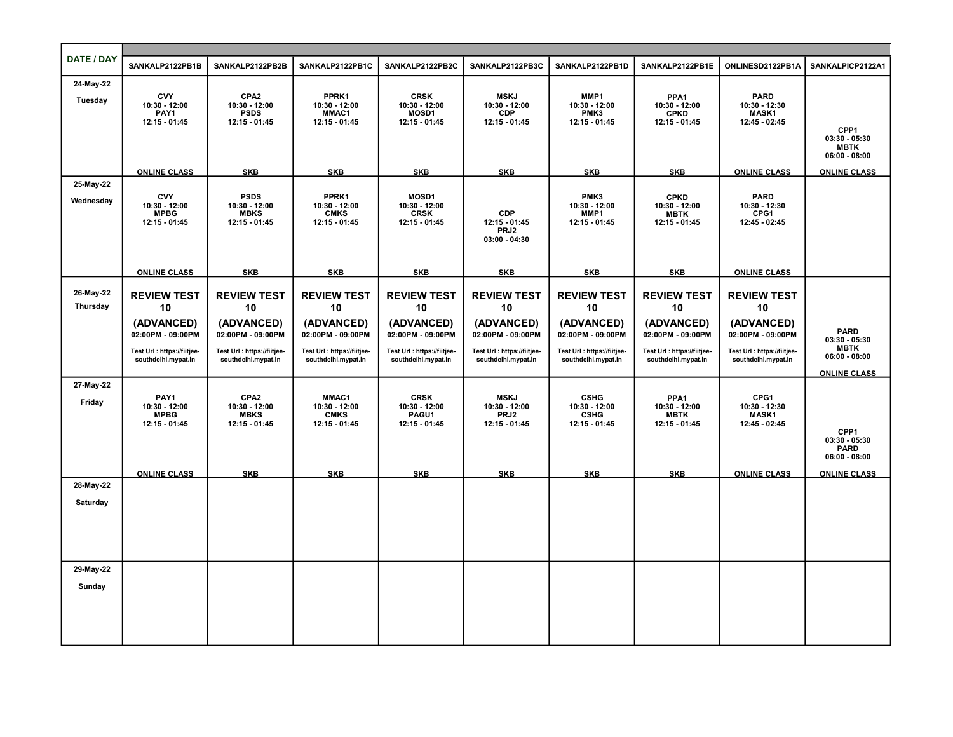| DATE / DAY            |                                                             |                                                                   |                                                         |                                                               |                                                               |                                                    |                                                                   |                                                               |                                                           |
|-----------------------|-------------------------------------------------------------|-------------------------------------------------------------------|---------------------------------------------------------|---------------------------------------------------------------|---------------------------------------------------------------|----------------------------------------------------|-------------------------------------------------------------------|---------------------------------------------------------------|-----------------------------------------------------------|
|                       | SANKALP2122PB1B                                             | SANKALP2122PB2B                                                   | SANKALP2122PB1C                                         | SANKALP2122PB2C                                               | SANKALP2122PB3C                                               | SANKALP2122PB1D                                    | SANKALP2122PB1E                                                   | ONLINESD2122PB1A                                              | SANKALPICP2122A1                                          |
| 24-May-22             |                                                             |                                                                   |                                                         |                                                               |                                                               |                                                    |                                                                   |                                                               |                                                           |
| Tuesday               | <b>CVY</b><br>10:30 - 12:00<br>PAY1<br>12:15 - 01:45        | CPA <sub>2</sub><br>10:30 - 12:00<br><b>PSDS</b><br>12:15 - 01:45 | PPRK1<br>10:30 - 12:00<br><b>MMAC1</b><br>12:15 - 01:45 | <b>CRSK</b><br>10:30 - 12:00<br><b>MOSD1</b><br>12:15 - 01:45 | <b>MSKJ</b><br>$10:30 - 12:00$<br><b>CDP</b><br>12:15 - 01:45 | MMP1<br>10:30 - 12:00<br>PMK3<br>12:15 - 01:45     | PPA <sub>1</sub><br>10:30 - 12:00<br><b>CPKD</b><br>12:15 - 01:45 | <b>PARD</b><br>10:30 - 12:30<br><b>MASK1</b><br>12:45 - 02:45 | CPP1<br>$03:30 - 05:30$<br><b>MBTK</b><br>$06:00 - 08:00$ |
|                       | <b>ONLINE CLASS</b>                                         | <b>SKB</b>                                                        | <b>SKB</b>                                              | <b>SKB</b>                                                    | <b>SKB</b>                                                    | <b>SKB</b>                                         | <b>SKB</b>                                                        | <b>ONLINE CLASS</b>                                           | <b>ONLINE CLASS</b>                                       |
| 25-May-22             |                                                             |                                                                   |                                                         |                                                               |                                                               |                                                    |                                                                   |                                                               |                                                           |
| Wednesday             | <b>CVY</b><br>10:30 - 12:00<br><b>MPBG</b><br>12:15 - 01:45 | <b>PSDS</b><br>10:30 - 12:00<br><b>MBKS</b><br>12:15 - 01:45      | PPRK1<br>10:30 - 12:00<br><b>CMKS</b><br>12:15 - 01:45  | <b>MOSD1</b><br>10:30 - 12:00<br><b>CRSK</b><br>12:15 - 01:45 | <b>CDP</b><br>$12:15 - 01:45$<br>PRJ2<br>$03:00 - 04:30$      | PMK3<br>10:30 - 12:00<br>MMP1<br>12:15 - 01:45     | <b>CPKD</b><br>10:30 - 12:00<br><b>MBTK</b><br>12:15 - 01:45      | <b>PARD</b><br>10:30 - 12:30<br>CPG1<br>12:45 - 02:45         |                                                           |
|                       | <b>ONLINE CLASS</b>                                         | <b>SKB</b>                                                        | <b>SKB</b>                                              | <b>SKB</b>                                                    | <b>SKB</b>                                                    | <b>SKB</b>                                         | <b>SKB</b>                                                        | <b>ONLINE CLASS</b>                                           |                                                           |
| 26-May-22<br>Thursday | <b>REVIEW TEST</b><br>10                                    | <b>REVIEW TEST</b><br>10                                          | <b>REVIEW TEST</b><br>10                                | <b>REVIEW TEST</b><br>10                                      | <b>REVIEW TEST</b><br>10                                      | <b>REVIEW TEST</b><br>10                           | <b>REVIEW TEST</b><br>10                                          | <b>REVIEW TEST</b><br>10                                      |                                                           |
|                       | (ADVANCED)<br>02:00PM - 09:00PM                             | (ADVANCED)<br>02:00PM - 09:00PM                                   | (ADVANCED)<br>02:00PM - 09:00PM                         | (ADVANCED)<br>02:00PM - 09:00PM                               | (ADVANCED)<br>02:00PM - 09:00PM                               | (ADVANCED)<br>02:00PM - 09:00PM                    | (ADVANCED)<br>02:00PM - 09:00PM                                   | (ADVANCED)<br>02:00PM - 09:00PM                               | <b>PARD</b><br>$03:30 - 05:30$                            |
|                       | Test Url : https://fiitjee-<br>southdelhi.mypat.in          | Test Url : https://fiitjee-<br>southdelhi.mypat.in                | Test Url : https://fiitjee-<br>southdelhi.mypat.in      | Test Url : https://fiitjee-<br>southdelhi.mypat.in            | Test Url : https://fiitjee-<br>southdelhi.mypat.in            | Test Url : https://fiitjee-<br>southdelhi.mypat.in | Test Url : https://fiitjee-<br>southdelhi.mypat.in                | Test Url : https://fiitjee-<br>southdelhi.mypat.in            | <b>MBTK</b><br>$06:00 - 08:00$<br><b>ONLINE CLASS</b>     |
| 27-May-22<br>Friday   | PAY1                                                        | CPA <sub>2</sub>                                                  | MMAC1                                                   | <b>CRSK</b>                                                   | <b>MSKJ</b>                                                   | <b>CSHG</b>                                        | PPA <sub>1</sub>                                                  | CPG1                                                          |                                                           |
|                       | 10:30 - 12:00<br><b>MPBG</b><br>12:15 - 01:45               | 10:30 - 12:00<br><b>MBKS</b><br>12:15 - 01:45                     | 10:30 - 12:00<br><b>CMKS</b><br>12:15 - 01:45           | 10:30 - 12:00<br>PAGU1<br>12:15 - 01:45                       | 10:30 - 12:00<br>PRJ2<br>12:15 - 01:45                        | 10:30 - 12:00<br><b>CSHG</b><br>12:15 - 01:45      | 10:30 - 12:00<br><b>MBTK</b><br>12:15 - 01:45                     | 10:30 - 12:30<br><b>MASK1</b><br>12:45 - 02:45                |                                                           |
|                       |                                                             |                                                                   |                                                         |                                                               |                                                               |                                                    |                                                                   |                                                               | CPP1<br>$03:30 - 05:30$<br><b>PARD</b><br>$06:00 - 08:00$ |
|                       | <b>ONLINE CLASS</b>                                         | <b>SKB</b>                                                        | <b>SKB</b>                                              | <b>SKB</b>                                                    | <b>SKB</b>                                                    | <b>SKB</b>                                         | <b>SKB</b>                                                        | <b>ONLINE CLASS</b>                                           | <b>ONLINE CLASS</b>                                       |
| 28-May-22             |                                                             |                                                                   |                                                         |                                                               |                                                               |                                                    |                                                                   |                                                               |                                                           |
| Saturday              |                                                             |                                                                   |                                                         |                                                               |                                                               |                                                    |                                                                   |                                                               |                                                           |
|                       |                                                             |                                                                   |                                                         |                                                               |                                                               |                                                    |                                                                   |                                                               |                                                           |
| 29-May-22             |                                                             |                                                                   |                                                         |                                                               |                                                               |                                                    |                                                                   |                                                               |                                                           |
| Sunday                |                                                             |                                                                   |                                                         |                                                               |                                                               |                                                    |                                                                   |                                                               |                                                           |
|                       |                                                             |                                                                   |                                                         |                                                               |                                                               |                                                    |                                                                   |                                                               |                                                           |
|                       |                                                             |                                                                   |                                                         |                                                               |                                                               |                                                    |                                                                   |                                                               |                                                           |
|                       |                                                             |                                                                   |                                                         |                                                               |                                                               |                                                    |                                                                   |                                                               |                                                           |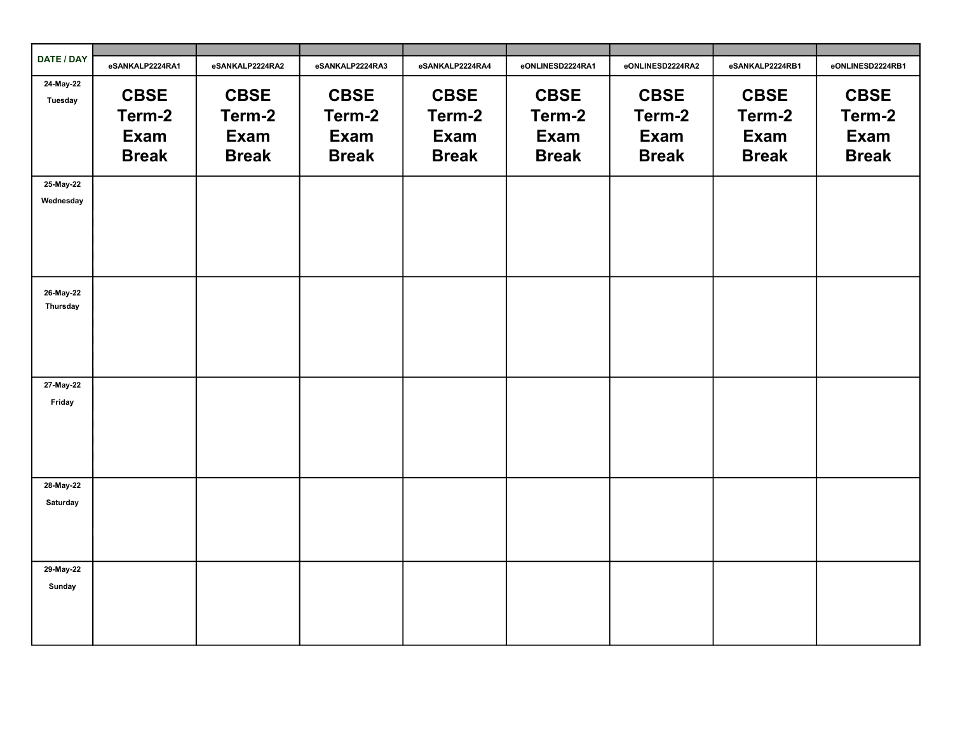| DATE / DAY           | eSANKALP2224RA1                               | eSANKALP2224RA2                                      | eSANKALP2224RA3                                      | eSANKALP2224RA4                               | eONLINESD2224RA1                                     | eONLINESD2224RA2                                     | eSANKALP2224RB1                                      | eONLINESD2224RB1                                     |
|----------------------|-----------------------------------------------|------------------------------------------------------|------------------------------------------------------|-----------------------------------------------|------------------------------------------------------|------------------------------------------------------|------------------------------------------------------|------------------------------------------------------|
| 24-May-22<br>Tuesday | <b>CBSE</b><br>Term-2<br>Exam<br><b>Break</b> | <b>CBSE</b><br>Term-2<br><b>Exam</b><br><b>Break</b> | <b>CBSE</b><br>Term-2<br><b>Exam</b><br><b>Break</b> | <b>CBSE</b><br>Term-2<br>Exam<br><b>Break</b> | <b>CBSE</b><br>Term-2<br><b>Exam</b><br><b>Break</b> | <b>CBSE</b><br>Term-2<br><b>Exam</b><br><b>Break</b> | <b>CBSE</b><br>Term-2<br><b>Exam</b><br><b>Break</b> | <b>CBSE</b><br>Term-2<br><b>Exam</b><br><b>Break</b> |
| 25-May-22            |                                               |                                                      |                                                      |                                               |                                                      |                                                      |                                                      |                                                      |
| Wednesday            |                                               |                                                      |                                                      |                                               |                                                      |                                                      |                                                      |                                                      |
| 26-May-22            |                                               |                                                      |                                                      |                                               |                                                      |                                                      |                                                      |                                                      |
| Thursday             |                                               |                                                      |                                                      |                                               |                                                      |                                                      |                                                      |                                                      |
|                      |                                               |                                                      |                                                      |                                               |                                                      |                                                      |                                                      |                                                      |
| 27-May-22            |                                               |                                                      |                                                      |                                               |                                                      |                                                      |                                                      |                                                      |
| Friday               |                                               |                                                      |                                                      |                                               |                                                      |                                                      |                                                      |                                                      |
|                      |                                               |                                                      |                                                      |                                               |                                                      |                                                      |                                                      |                                                      |
| 28-May-22            |                                               |                                                      |                                                      |                                               |                                                      |                                                      |                                                      |                                                      |
| Saturday             |                                               |                                                      |                                                      |                                               |                                                      |                                                      |                                                      |                                                      |
|                      |                                               |                                                      |                                                      |                                               |                                                      |                                                      |                                                      |                                                      |
| 29-May-22<br>Sunday  |                                               |                                                      |                                                      |                                               |                                                      |                                                      |                                                      |                                                      |
|                      |                                               |                                                      |                                                      |                                               |                                                      |                                                      |                                                      |                                                      |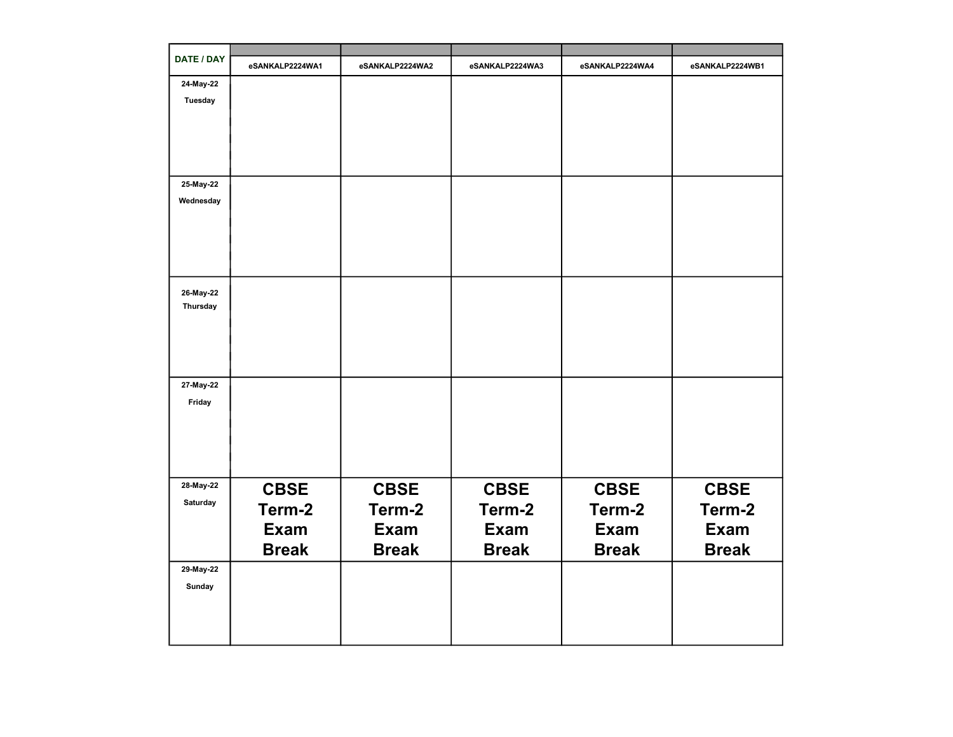| DATE / DAY | eSANKALP2224WA1 | eSANKALP2224WA2 | eSANKALP2224WA3 | eSANKALP2224WA4 | eSANKALP2224WB1 |
|------------|-----------------|-----------------|-----------------|-----------------|-----------------|
| 24-May-22  |                 |                 |                 |                 |                 |
| Tuesday    |                 |                 |                 |                 |                 |
|            |                 |                 |                 |                 |                 |
|            |                 |                 |                 |                 |                 |
|            |                 |                 |                 |                 |                 |
|            |                 |                 |                 |                 |                 |
| 25-May-22  |                 |                 |                 |                 |                 |
| Wednesday  |                 |                 |                 |                 |                 |
|            |                 |                 |                 |                 |                 |
|            |                 |                 |                 |                 |                 |
|            |                 |                 |                 |                 |                 |
|            |                 |                 |                 |                 |                 |
| 26-May-22  |                 |                 |                 |                 |                 |
| Thursday   |                 |                 |                 |                 |                 |
|            |                 |                 |                 |                 |                 |
|            |                 |                 |                 |                 |                 |
|            |                 |                 |                 |                 |                 |
|            |                 |                 |                 |                 |                 |
| 27-May-22  |                 |                 |                 |                 |                 |
| Friday     |                 |                 |                 |                 |                 |
|            |                 |                 |                 |                 |                 |
|            |                 |                 |                 |                 |                 |
|            |                 |                 |                 |                 |                 |
|            |                 |                 |                 |                 |                 |
| 28-May-22  | <b>CBSE</b>     | <b>CBSE</b>     | <b>CBSE</b>     | <b>CBSE</b>     | <b>CBSE</b>     |
| Saturday   | Term-2          | Term-2          | Term-2          | Term-2          | Term-2          |
|            |                 |                 |                 |                 |                 |
|            | <b>Exam</b>     | <b>Exam</b>     | <b>Exam</b>     | <b>Exam</b>     | <b>Exam</b>     |
|            | <b>Break</b>    | <b>Break</b>    | <b>Break</b>    | <b>Break</b>    | <b>Break</b>    |
| 29-May-22  |                 |                 |                 |                 |                 |
| Sunday     |                 |                 |                 |                 |                 |
|            |                 |                 |                 |                 |                 |
|            |                 |                 |                 |                 |                 |
|            |                 |                 |                 |                 |                 |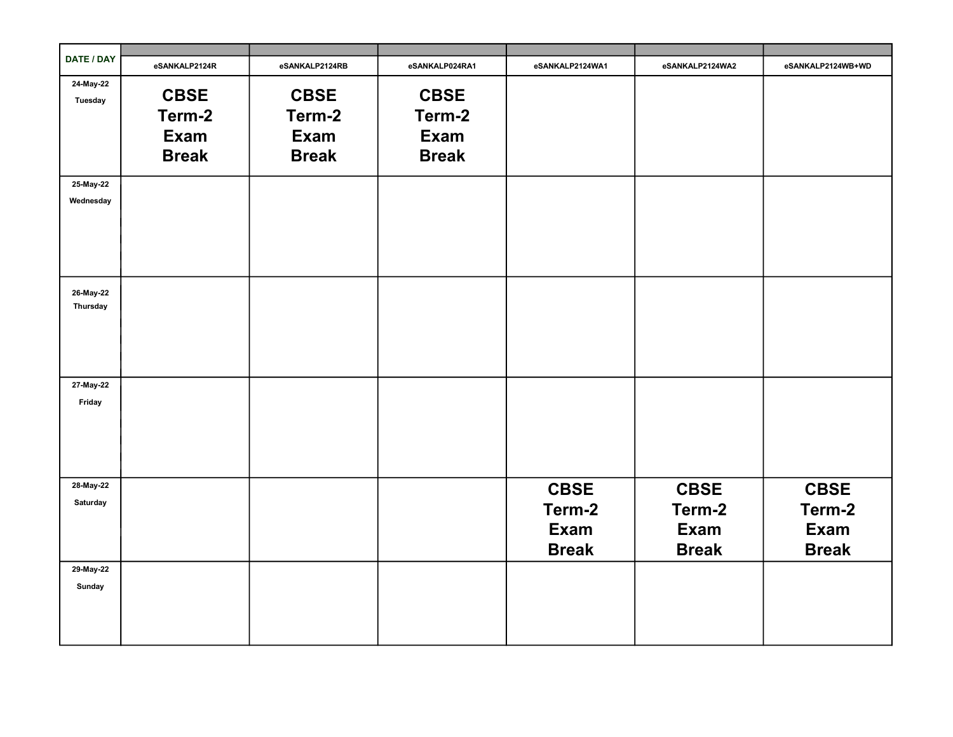| DATE / DAY            | eSANKALP2124R                                 | eSANKALP2124RB                                       | eSANKALP024RA1                                       | eSANKALP2124WA1                                      | eSANKALP2124WA2                               | eSANKALP2124WB+WD                             |
|-----------------------|-----------------------------------------------|------------------------------------------------------|------------------------------------------------------|------------------------------------------------------|-----------------------------------------------|-----------------------------------------------|
| 24-May-22<br>Tuesday  | <b>CBSE</b><br>Term-2<br>Exam<br><b>Break</b> | <b>CBSE</b><br>Term-2<br><b>Exam</b><br><b>Break</b> | <b>CBSE</b><br>Term-2<br><b>Exam</b><br><b>Break</b> |                                                      |                                               |                                               |
| 25-May-22             |                                               |                                                      |                                                      |                                                      |                                               |                                               |
| Wednesday             |                                               |                                                      |                                                      |                                                      |                                               |                                               |
| 26-May-22<br>Thursday |                                               |                                                      |                                                      |                                                      |                                               |                                               |
| 27-May-22<br>Friday   |                                               |                                                      |                                                      |                                                      |                                               |                                               |
| 28-May-22<br>Saturday |                                               |                                                      |                                                      | <b>CBSE</b><br>Term-2<br><b>Exam</b><br><b>Break</b> | <b>CBSE</b><br>Term-2<br>Exam<br><b>Break</b> | <b>CBSE</b><br>Term-2<br>Exam<br><b>Break</b> |
| 29-May-22<br>Sunday   |                                               |                                                      |                                                      |                                                      |                                               |                                               |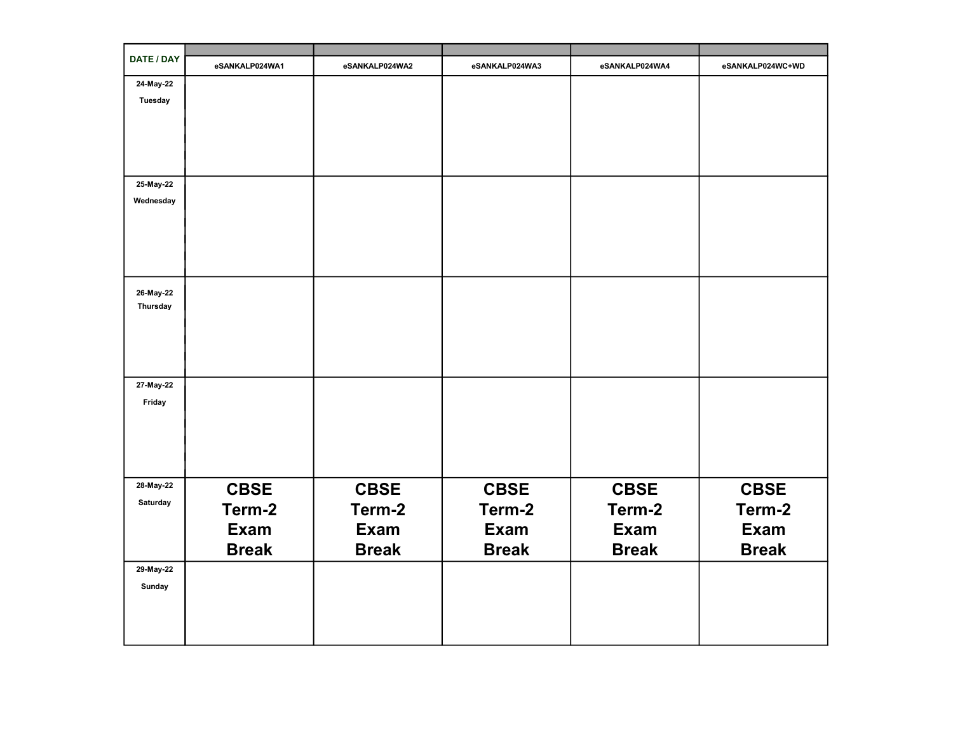| DATE / DAY            | eSANKALP024WA1 | eSANKALP024WA2 | eSANKALP024WA3 | eSANKALP024WA4 | eSANKALP024WC+WD |
|-----------------------|----------------|----------------|----------------|----------------|------------------|
| 24-May-22             |                |                |                |                |                  |
| Tuesday               |                |                |                |                |                  |
|                       |                |                |                |                |                  |
|                       |                |                |                |                |                  |
|                       |                |                |                |                |                  |
|                       |                |                |                |                |                  |
| 25-May-22             |                |                |                |                |                  |
| Wednesday             |                |                |                |                |                  |
|                       |                |                |                |                |                  |
|                       |                |                |                |                |                  |
|                       |                |                |                |                |                  |
|                       |                |                |                |                |                  |
|                       |                |                |                |                |                  |
| 26-May-22<br>Thursday |                |                |                |                |                  |
|                       |                |                |                |                |                  |
|                       |                |                |                |                |                  |
|                       |                |                |                |                |                  |
|                       |                |                |                |                |                  |
| 27-May-22             |                |                |                |                |                  |
| Friday                |                |                |                |                |                  |
|                       |                |                |                |                |                  |
|                       |                |                |                |                |                  |
|                       |                |                |                |                |                  |
|                       |                |                |                |                |                  |
| 28-May-22             | <b>CBSE</b>    | <b>CBSE</b>    | <b>CBSE</b>    | <b>CBSE</b>    | <b>CBSE</b>      |
| Saturday              |                |                |                |                |                  |
|                       | Term-2         | Term-2         | Term-2         | Term-2         | Term-2           |
|                       | <b>Exam</b>    | Exam           | <b>Exam</b>    | <b>Exam</b>    | <b>Exam</b>      |
|                       | <b>Break</b>   | <b>Break</b>   | <b>Break</b>   | <b>Break</b>   | <b>Break</b>     |
| 29-May-22             |                |                |                |                |                  |
| Sunday                |                |                |                |                |                  |
|                       |                |                |                |                |                  |
|                       |                |                |                |                |                  |
|                       |                |                |                |                |                  |